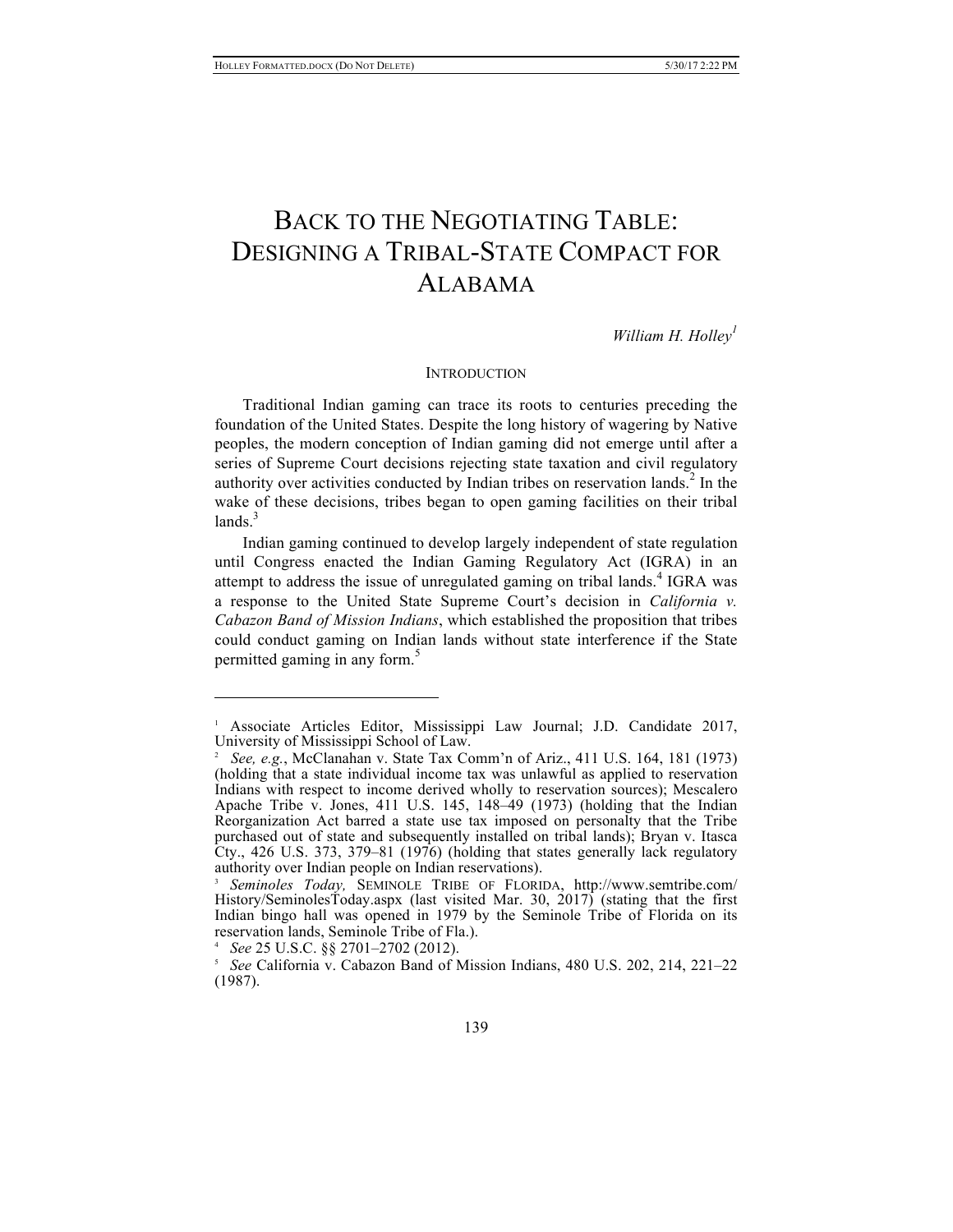# BACK TO THE NEGOTIATING TABLE: DESIGNING A TRIBAL-STATE COMPACT FOR ALABAMA

*William H. Holley<sup>1</sup>*

#### **INTRODUCTION**

Traditional Indian gaming can trace its roots to centuries preceding the foundation of the United States. Despite the long history of wagering by Native peoples, the modern conception of Indian gaming did not emerge until after a series of Supreme Court decisions rejecting state taxation and civil regulatory authority over activities conducted by Indian tribes on reservation lands.<sup>2</sup> In the wake of these decisions, tribes began to open gaming facilities on their tribal  $lands.<sup>3</sup>$ 

Indian gaming continued to develop largely independent of state regulation until Congress enacted the Indian Gaming Regulatory Act (IGRA) in an attempt to address the issue of unregulated gaming on tribal lands.<sup>4</sup> IGRA was a response to the United State Supreme Court's decision in *California v. Cabazon Band of Mission Indians*, which established the proposition that tribes could conduct gaming on Indian lands without state interference if the State permitted gaming in any form.<sup>5</sup>

 $\overline{\phantom{a}}$ 

<sup>&</sup>lt;sup>1</sup> Associate Articles Editor, Mississippi Law Journal; J.D. Candidate 2017, University of Mississippi School of Law.

<sup>2</sup> *See, e.g.*, McClanahan v. State Tax Comm'n of Ariz., 411 U.S. 164, 181 (1973) (holding that a state individual income tax was unlawful as applied to reservation Indians with respect to income derived wholly to reservation sources); Mescalero Apache Tribe v. Jones,  $411$  U.S.  $145$ ,  $148-49$  (1973) (holding that the Indian Reorganization Act barred a state use tax imposed on personalty that the Tribe purchased out of state and subsequently installed on tribal lands); Bryan v. Itasca Cty., 426 U.S. 373, 379–81 (1976) (holding that states generally lack regulatory authority over Indian people on Indian reservations).

<sup>3</sup> *Seminoles Today,* SEMINOLE TRIBE OF FLORIDA, http://www.semtribe.com/ History/SeminolesToday.aspx (last visited Mar. 30, 2017) (stating that the first Indian bingo hall was opened in 1979 by the Seminole Tribe of Florida on its reservation lands, Seminole Tribe of Fla.).

<sup>4</sup> *See* 25 U.S.C. §§ 2701–2702 (2012).

<sup>5</sup> *See* California v. Cabazon Band of Mission Indians, 480 U.S. 202, 214, 221–22 (1987).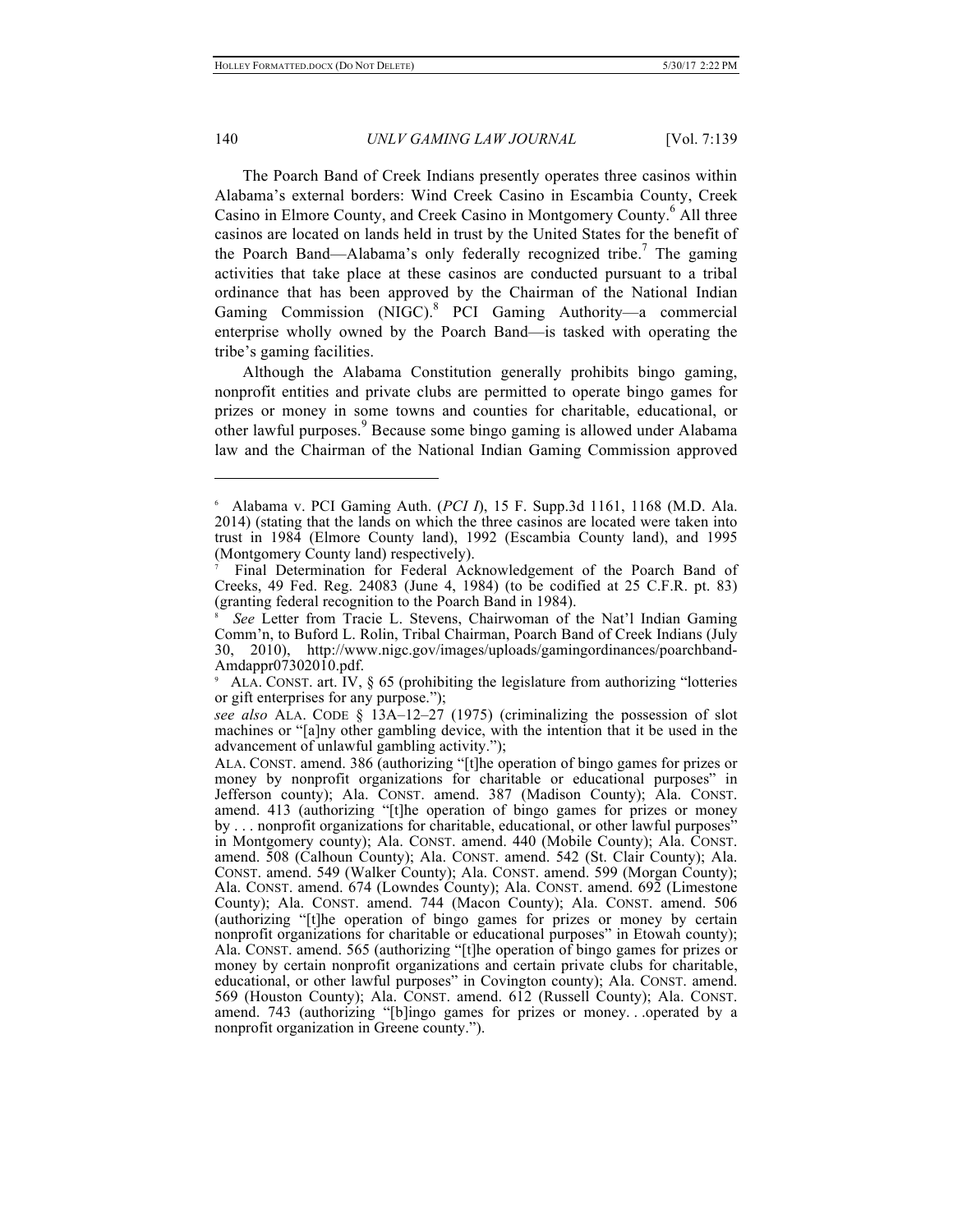The Poarch Band of Creek Indians presently operates three casinos within Alabama's external borders: Wind Creek Casino in Escambia County, Creek Casino in Elmore County, and Creek Casino in Montgomery County. <sup>6</sup> All three casinos are located on lands held in trust by the United States for the benefit of the Poarch Band—Alabama's only federally recognized tribe.<sup>7</sup> The gaming activities that take place at these casinos are conducted pursuant to a tribal ordinance that has been approved by the Chairman of the National Indian Gaming Commission (NIGC).<sup>8</sup> PCI Gaming Authority—a commercial enterprise wholly owned by the Poarch Band—is tasked with operating the tribe's gaming facilities.

Although the Alabama Constitution generally prohibits bingo gaming, nonprofit entities and private clubs are permitted to operate bingo games for prizes or money in some towns and counties for charitable, educational, or other lawful purposes.<sup>9</sup> Because some bingo gaming is allowed under Alabama law and the Chairman of the National Indian Gaming Commission approved

<sup>6</sup> Alabama v. PCI Gaming Auth. (*PCI I*), 15 F. Supp.3d 1161, 1168 (M.D. Ala. 2014) (stating that the lands on which the three casinos are located were taken into trust in 1984 (Elmore County land), 1992 (Escambia County land), and 1995 (Montgomery County land) respectively).

<sup>7</sup> Final Determination for Federal Acknowledgement of the Poarch Band of Creeks, 49 Fed. Reg. 24083 (June 4, 1984) (to be codified at 25 C.F.R. pt. 83) (granting federal recognition to the Poarch Band in 1984).

<sup>8</sup> *See* Letter from Tracie L. Stevens, Chairwoman of the Nat'l Indian Gaming Comm'n, to Buford L. Rolin, Tribal Chairman, Poarch Band of Creek Indians (July 30, 2010), http://www.nigc.gov/images/uploads/gamingordinances/poarchband-Amdappr07302010.pdf.

ALA. CONST. art. IV, § 65 (prohibiting the legislature from authorizing "lotteries" or gift enterprises for any purpose.");

*see also* ALA. CODE § 13A–12–27 (1975) (criminalizing the possession of slot machines or "[a]ny other gambling device, with the intention that it be used in the advancement of unlawful gambling activity.");

ALA. CONST. amend. 386 (authorizing "[t]he operation of bingo games for prizes or money by nonprofit organizations for charitable or educational purposes" in Jefferson county); Ala. CONST. amend. 387 (Madison County); Ala. CONST. amend. 413 (authorizing "[t]he operation of bingo games for prizes or money by . . . nonprofit organizations for charitable, educational, or other lawful purposes" in Montgomery county); Ala. CONST. amend. 440 (Mobile County); Ala. CONST. amend. 508 (Calhoun County); Ala. CONST. amend. 542 (St. Clair County); Ala. CONST. amend. 549 (Walker County); Ala. CONST. amend. 599 (Morgan County); Ala. CONST. amend. 674 (Lowndes County); Ala. CONST. amend. 692 (Limestone County); Ala. CONST. amend. 744 (Macon County); Ala. CONST. amend. 506 (authorizing "[t]he operation of bingo games for prizes or money by certain nonprofit organizations for charitable or educational purposes" in Etowah county); Ala. CONST. amend. 565 (authorizing "[t]he operation of bingo games for prizes or money by certain nonprofit organizations and certain private clubs for charitable, educational, or other lawful purposes" in Covington county); Ala. CONST. amend. 569 (Houston County); Ala. CONST. amend. 612 (Russell County); Ala. CONST. amend. 743 (authorizing "[b]ingo games for prizes or money. . .operated by a nonprofit organization in Greene county.").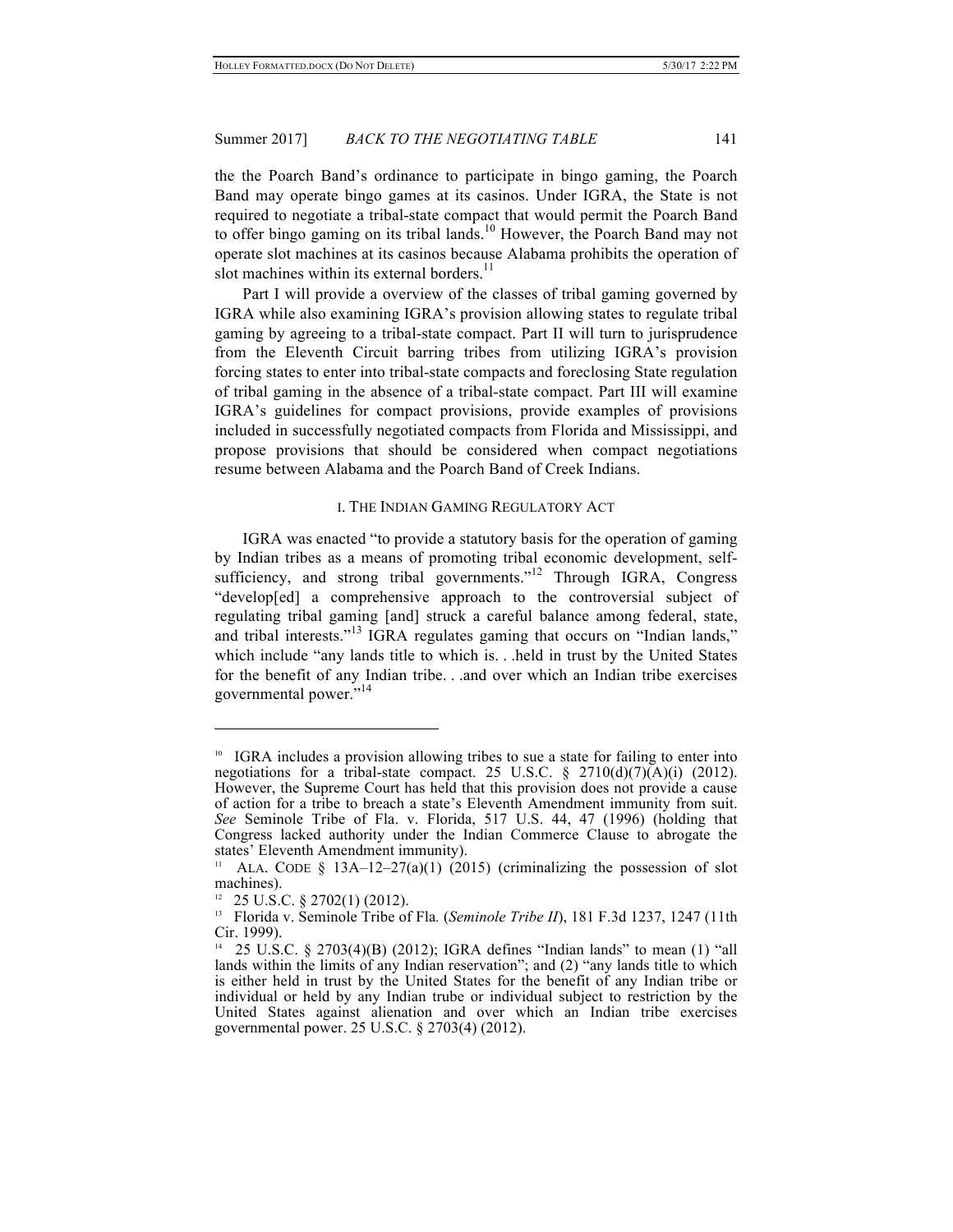the the Poarch Band's ordinance to participate in bingo gaming, the Poarch Band may operate bingo games at its casinos. Under IGRA, the State is not required to negotiate a tribal-state compact that would permit the Poarch Band to offer bingo gaming on its tribal lands.<sup>10</sup> However, the Poarch Band may not operate slot machines at its casinos because Alabama prohibits the operation of slot machines within its external borders.<sup>11</sup>

Part I will provide a overview of the classes of tribal gaming governed by IGRA while also examining IGRA's provision allowing states to regulate tribal gaming by agreeing to a tribal-state compact. Part II will turn to jurisprudence from the Eleventh Circuit barring tribes from utilizing IGRA's provision forcing states to enter into tribal-state compacts and foreclosing State regulation of tribal gaming in the absence of a tribal-state compact. Part III will examine IGRA's guidelines for compact provisions, provide examples of provisions included in successfully negotiated compacts from Florida and Mississippi, and propose provisions that should be considered when compact negotiations resume between Alabama and the Poarch Band of Creek Indians.

## I. THE INDIAN GAMING REGULATORY ACT

IGRA was enacted "to provide a statutory basis for the operation of gaming by Indian tribes as a means of promoting tribal economic development, selfsufficiency, and strong tribal governments."<sup>12</sup> Through IGRA, Congress "develop[ed] a comprehensive approach to the controversial subject of regulating tribal gaming [and] struck a careful balance among federal, state, and tribal interests."<sup>13</sup> IGRA regulates gaming that occurs on "Indian lands," which include "any lands title to which is... held in trust by the United States for the benefit of any Indian tribe. . .and over which an Indian tribe exercises governmental power."<sup>14</sup>

<sup>&</sup>lt;sup>10</sup> IGRA includes a provision allowing tribes to sue a state for failing to enter into negotiations for a tribal-state compact. 25 U.S.C.  $\S$  2710(d)(7)(A)(i) (2012). However, the Supreme Court has held that this provision does not provide a cause of action for a tribe to breach a state's Eleventh Amendment immunity from suit. *See* Seminole Tribe of Fla. v. Florida, 517 U.S. 44, 47 (1996) (holding that Congress lacked authority under the Indian Commerce Clause to abrogate the states' Eleventh Amendment immunity).

<sup>&</sup>lt;sup>11</sup> ALA. CODE § 13A–12–27(a)(1) (2015) (criminalizing the possession of slot machines).

 $12$  25 U.S.C. § 2702(1) (2012).

<sup>13</sup> Florida v. Seminole Tribe of Fla*.* (*Seminole Tribe II*), 181 F.3d 1237, 1247 (11th Cir. 1999).

<sup>14</sup> 25 U.S.C. § 2703(4)(B) (2012); IGRA defines "Indian lands" to mean (1) "all lands within the limits of any Indian reservation"; and (2) "any lands title to which is either held in trust by the United States for the benefit of any Indian tribe or individual or held by any Indian trube or individual subject to restriction by the United States against alienation and over which an Indian tribe exercises governmental power. 25 U.S.C. § 2703(4) (2012).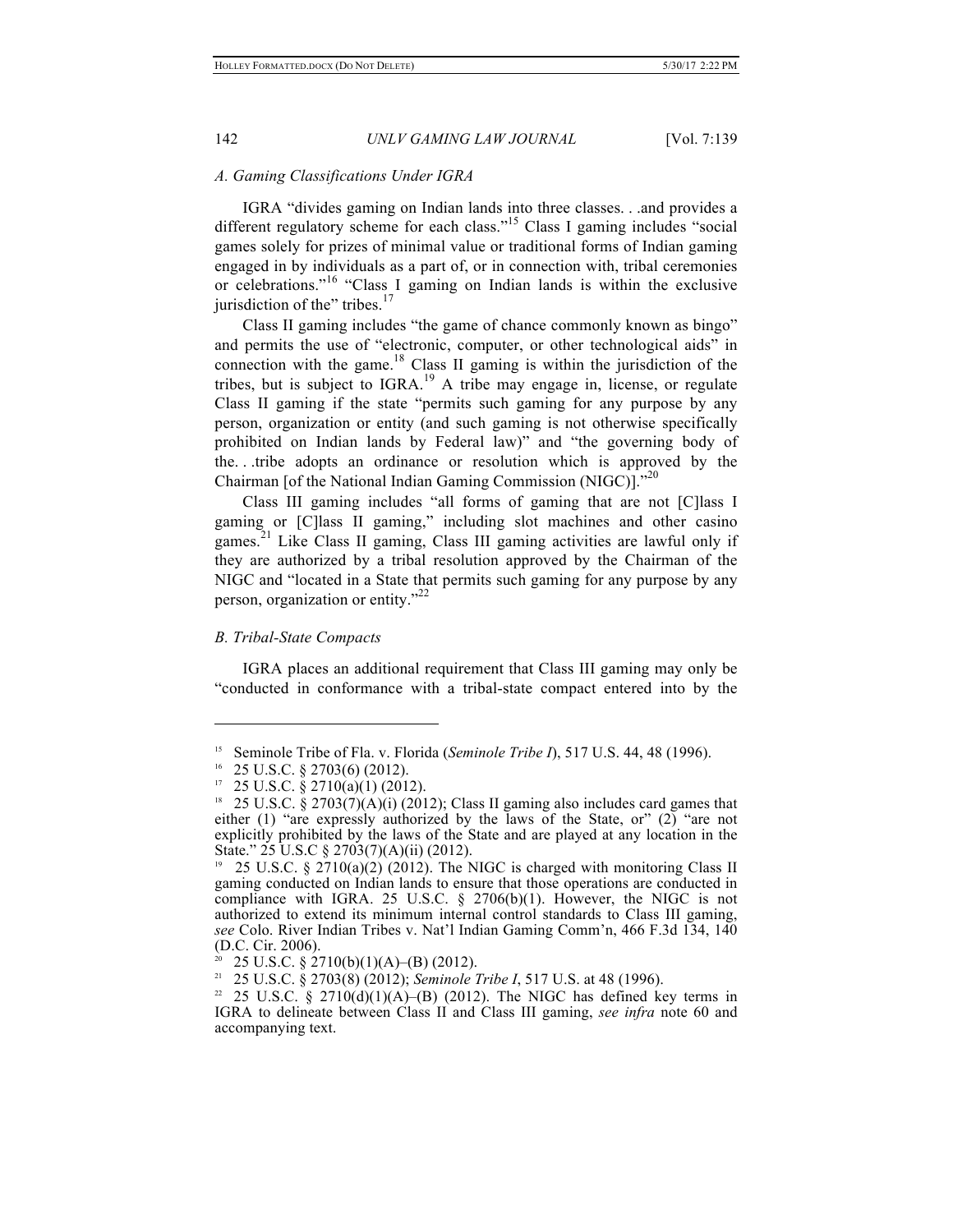#### *A. Gaming Classifications Under IGRA*

IGRA "divides gaming on Indian lands into three classes. . .and provides a different regulatory scheme for each class."<sup>15</sup> Class I gaming includes "social games solely for prizes of minimal value or traditional forms of Indian gaming engaged in by individuals as a part of, or in connection with, tribal ceremonies or celebrations." <sup>16</sup> "Class I gaming on Indian lands is within the exclusive jurisdiction of the" tribes. $17$ 

Class II gaming includes "the game of chance commonly known as bingo" and permits the use of "electronic, computer, or other technological aids" in connection with the game. $18$  Class II gaming is within the jurisdiction of the tribes, but is subject to  $IGRA<sup>19</sup>$  A tribe may engage in, license, or regulate Class II gaming if the state "permits such gaming for any purpose by any person, organization or entity (and such gaming is not otherwise specifically prohibited on Indian lands by Federal law)" and "the governing body of the. . .tribe adopts an ordinance or resolution which is approved by the Chairman [of the National Indian Gaming Commission (NIGC)]."20

Class III gaming includes "all forms of gaming that are not [C]lass I gaming or [C]lass II gaming," including slot machines and other casino games.<sup>21</sup> Like Class II gaming, Class III gaming activities are lawful only if they are authorized by a tribal resolution approved by the Chairman of the NIGC and "located in a State that permits such gaming for any purpose by any person, organization or entity."<sup>22</sup>

#### *B. Tribal-State Compacts*

 $\overline{a}$ 

IGRA places an additional requirement that Class III gaming may only be "conducted in conformance with a tribal-state compact entered into by the

<sup>15</sup> Seminole Tribe of Fla. v. Florida (*Seminole Tribe I*), 517 U.S. 44, 48 (1996).

 $16$  25 U.S.C. § 2703(6) (2012).

 $17$  25 U.S.C. § 2710(a)(1) (2012).

<sup>&</sup>lt;sup>18</sup> 25 U.S.C. § 2703(7)(A)(i) (2012); Class II gaming also includes card games that either (1) "are expressly authorized by the laws of the State, or" (2) "are not explicitly prohibited by the laws of the State and are played at any location in the State." 25 U.S.C § 2703(7)(A)(ii) (2012).

<sup>19</sup> 25 U.S.C. § 2710(a)(2) (2012). The NIGC is charged with monitoring Class II gaming conducted on Indian lands to ensure that those operations are conducted in compliance with IGRA. 25 U.S.C. § 2706(b)(1). However, the NIGC is not authorized to extend its minimum internal control standards to Class III gaming, *see* Colo. River Indian Tribes v. Nat'l Indian Gaming Comm'n, 466 F.3d 134, 140 (D.C. Cir. 2006).

<sup>&</sup>lt;sup>20</sup> 25 U.S.C. § 2710(b)(1)(A)–(B) (2012).<br><sup>21</sup> 25 U.S.C. § 2703(8) (2012): Seminale 1

<sup>21</sup> 25 U.S.C. § 2703(8) (2012); *Seminole Tribe I*, 517 U.S. at 48 (1996).

<sup>&</sup>lt;sup>22</sup> 25 U.S.C. § 2710(d)(1)(A)–(B) (2012). The NIGC has defined key terms in IGRA to delineate between Class II and Class III gaming, *see infra* note 60 and accompanying text.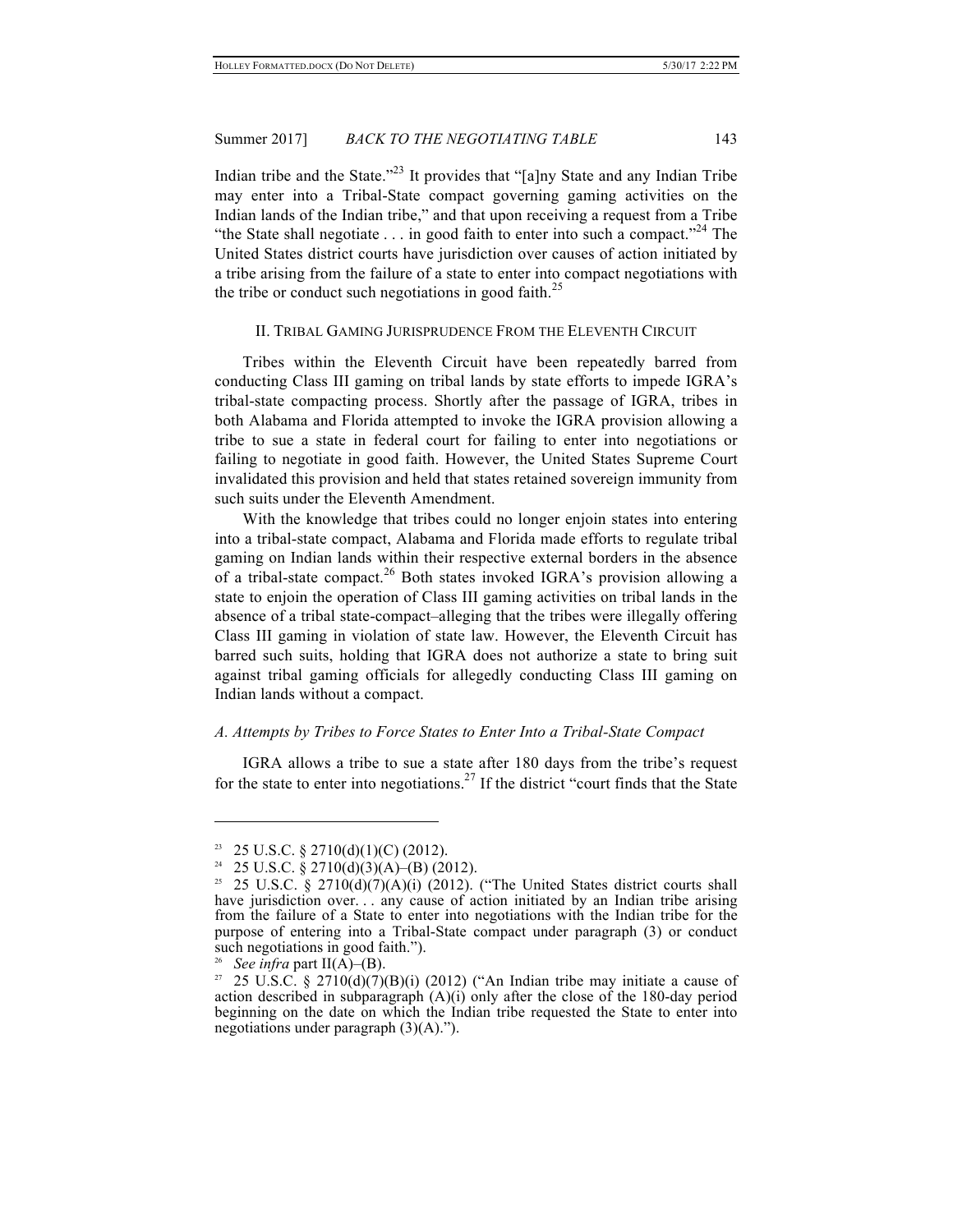Indian tribe and the State."<sup>23</sup> It provides that "[a]ny State and any Indian Tribe may enter into a Tribal-State compact governing gaming activities on the Indian lands of the Indian tribe," and that upon receiving a request from a Tribe "the State shall negotiate  $\dots$  in good faith to enter into such a compact."<sup>24</sup> The United States district courts have jurisdiction over causes of action initiated by a tribe arising from the failure of a state to enter into compact negotiations with the tribe or conduct such negotiations in good faith.<sup>25</sup>

# II. TRIBAL GAMING JURISPRUDENCE FROM THE ELEVENTH CIRCUIT

Tribes within the Eleventh Circuit have been repeatedly barred from conducting Class III gaming on tribal lands by state efforts to impede IGRA's tribal-state compacting process. Shortly after the passage of IGRA, tribes in both Alabama and Florida attempted to invoke the IGRA provision allowing a tribe to sue a state in federal court for failing to enter into negotiations or failing to negotiate in good faith. However, the United States Supreme Court invalidated this provision and held that states retained sovereign immunity from such suits under the Eleventh Amendment.

With the knowledge that tribes could no longer enjoin states into entering into a tribal-state compact, Alabama and Florida made efforts to regulate tribal gaming on Indian lands within their respective external borders in the absence of a tribal-state compact.<sup>26</sup> Both states invoked IGRA's provision allowing a state to enjoin the operation of Class III gaming activities on tribal lands in the absence of a tribal state-compact–alleging that the tribes were illegally offering Class III gaming in violation of state law. However, the Eleventh Circuit has barred such suits, holding that IGRA does not authorize a state to bring suit against tribal gaming officials for allegedly conducting Class III gaming on Indian lands without a compact.

#### *A. Attempts by Tribes to Force States to Enter Into a Tribal-State Compact*

IGRA allows a tribe to sue a state after 180 days from the tribe's request for the state to enter into negotiations.<sup>27</sup> If the district "court finds that the State"

<sup>&</sup>lt;sup>23</sup> 25 U.S.C. § 2710(d)(1)(C) (2012).

<sup>25</sup> U.S.C. § 2710(d)(3)(A)–(B) (2012).

<sup>&</sup>lt;sup>25</sup> 25 U.S.C. § 2710(d)(7)(A)(i) (2012). ("The United States district courts shall have jurisdiction over. . . any cause of action initiated by an Indian tribe arising from the failure of a State to enter into negotiations with the Indian tribe for the purpose of entering into a Tribal-State compact under paragraph (3) or conduct such negotiations in good faith.").

<sup>&</sup>lt;sup>26</sup> *See infra* part  $II(A)$ –(B).

<sup>&</sup>lt;sup>27</sup> 25 U.S.C. § 2710(d)(7)(B)(i) (2012) ("An Indian tribe may initiate a cause of action described in subparagraph (A)(i) only after the close of the 180-day period beginning on the date on which the Indian tribe requested the State to enter into negotiations under paragraph (3)(A).").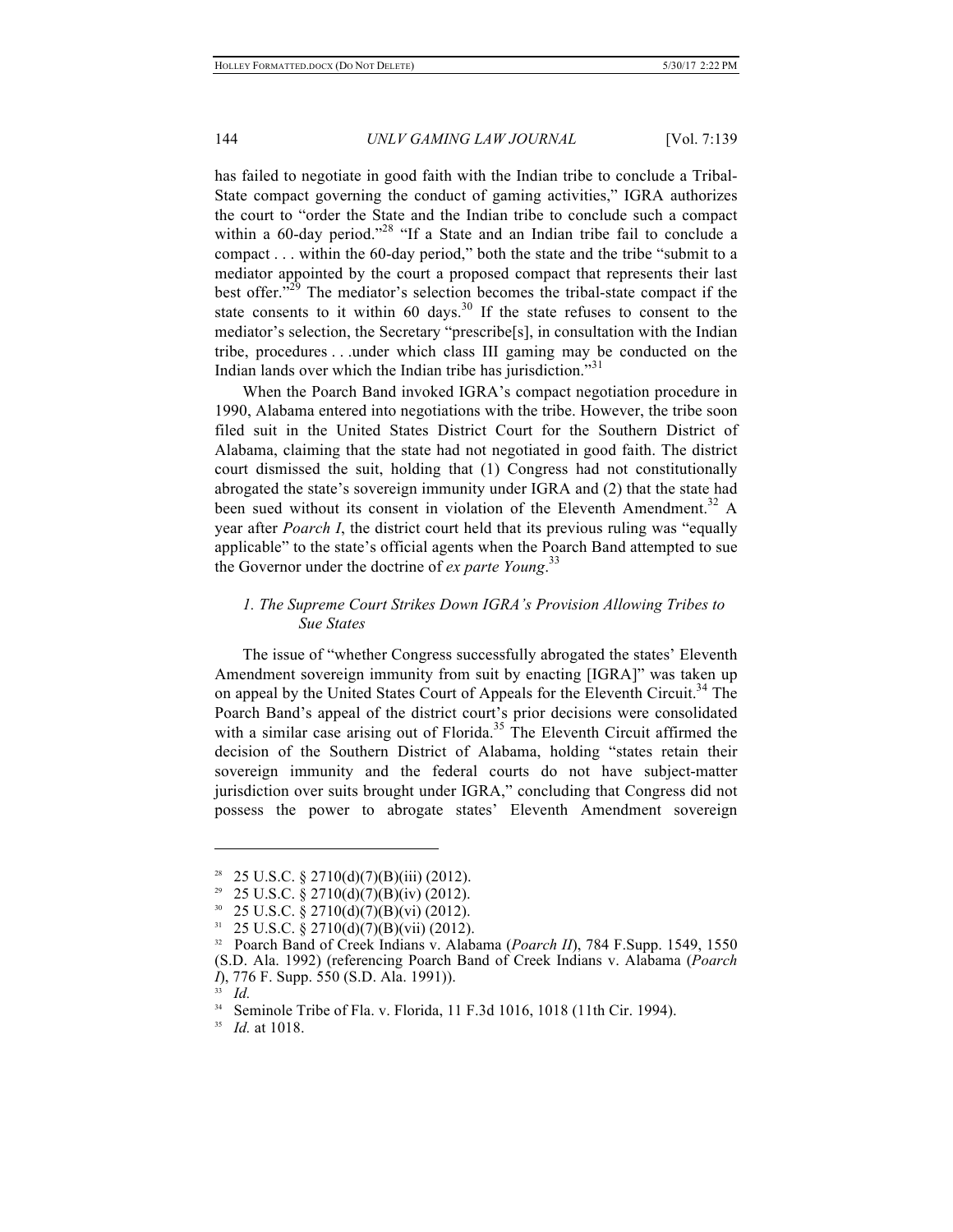has failed to negotiate in good faith with the Indian tribe to conclude a Tribal-State compact governing the conduct of gaming activities," IGRA authorizes the court to "order the State and the Indian tribe to conclude such a compact within a 60-day period."<sup>28</sup> "If a State and an Indian tribe fail to conclude a compact . . . within the 60-day period," both the state and the tribe "submit to a mediator appointed by the court a proposed compact that represents their last best offer.<sup> $229$ </sup> The mediator's selection becomes the tribal-state compact if the state consents to it within 60 days.<sup>30</sup> If the state refuses to consent to the mediator's selection, the Secretary "prescribe[s], in consultation with the Indian tribe, procedures . . .under which class III gaming may be conducted on the Indian lands over which the Indian tribe has jurisdiction."<sup>31</sup>

When the Poarch Band invoked IGRA's compact negotiation procedure in 1990, Alabama entered into negotiations with the tribe. However, the tribe soon filed suit in the United States District Court for the Southern District of Alabama, claiming that the state had not negotiated in good faith. The district court dismissed the suit, holding that (1) Congress had not constitutionally abrogated the state's sovereign immunity under IGRA and (2) that the state had been sued without its consent in violation of the Eleventh Amendment.<sup>32</sup> A year after *Poarch I*, the district court held that its previous ruling was "equally applicable" to the state's official agents when the Poarch Band attempted to sue the Governor under the doctrine of *ex parte Young*. 33

# *1. The Supreme Court Strikes Down IGRA's Provision Allowing Tribes to Sue States*

The issue of "whether Congress successfully abrogated the states' Eleventh Amendment sovereign immunity from suit by enacting [IGRA]" was taken up on appeal by the United States Court of Appeals for the Eleventh Circuit.<sup>34</sup> The Poarch Band's appeal of the district court's prior decisions were consolidated with a similar case arising out of Florida.<sup>35</sup> The Eleventh Circuit affirmed the decision of the Southern District of Alabama, holding "states retain their sovereign immunity and the federal courts do not have subject-matter jurisdiction over suits brought under IGRA," concluding that Congress did not possess the power to abrogate states' Eleventh Amendment sovereign

 $31$  25 U.S.C. § 2710(d)(7)(B)(vii) (2012).

<sup>28</sup> 25 U.S.C. § 2710(d)(7)(B)(iii) (2012).

<sup>&</sup>lt;sup>29</sup> 25 U.S.C. § 2710(d)(7)(B)(iv) (2012).

 $30\quad 25 \text{ U.S.C. }$ § 2710(d)(7)(B)(vi) (2012).

<sup>32</sup> Poarch Band of Creek Indians v. Alabama (*Poarch II*), 784 F.Supp. 1549, 1550 (S.D. Ala. 1992) (referencing Poarch Band of Creek Indians v. Alabama (*Poarch I*), 776 F. Supp. 550 (S.D. Ala. 1991)).

 $\frac{33}{34}$  *Id.* 

<sup>34</sup> Seminole Tribe of Fla. v. Florida, 11 F.3d 1016, 1018 (11th Cir. 1994).

<sup>35</sup> *Id.* at 1018.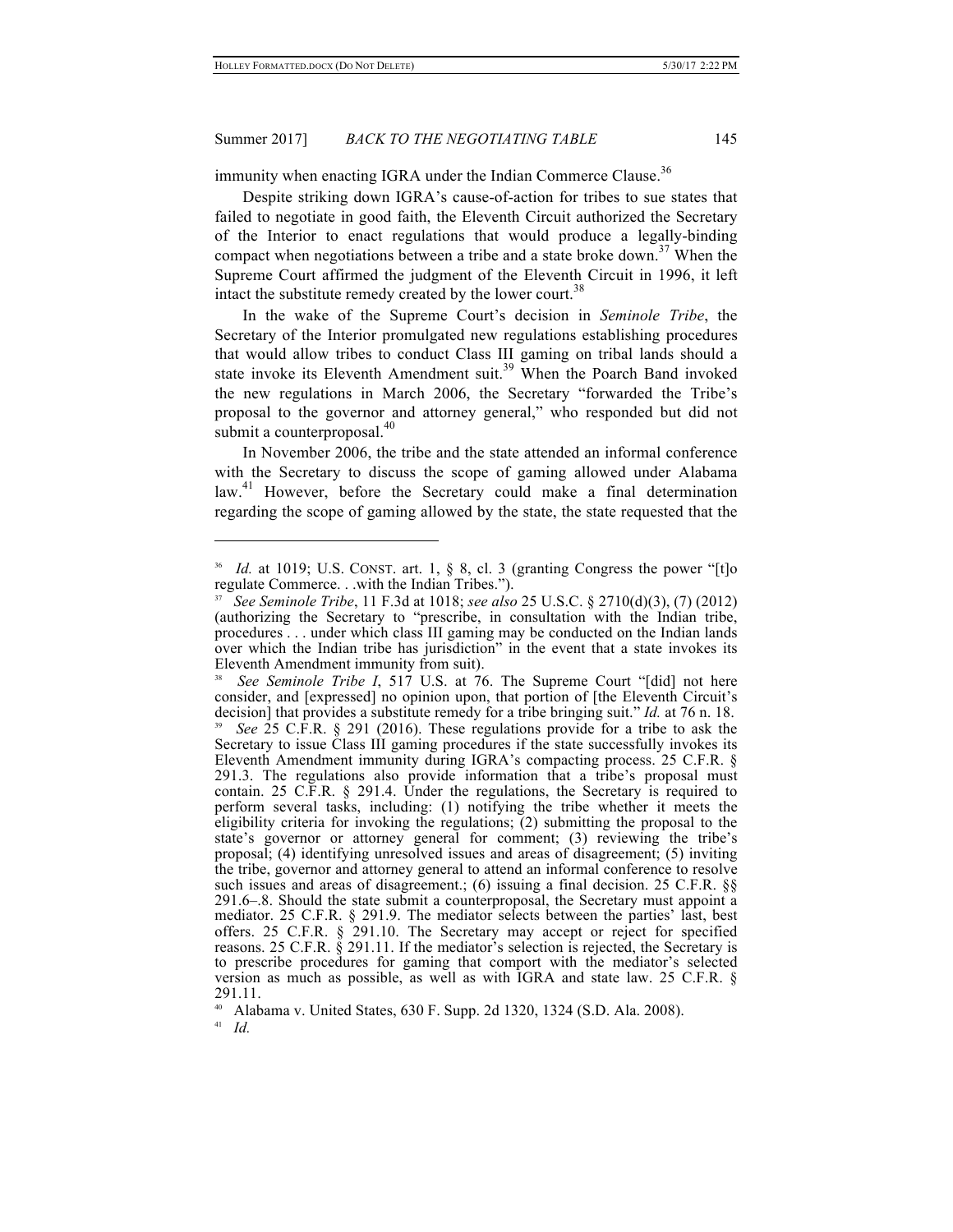immunity when enacting IGRA under the Indian Commerce Clause.<sup>36</sup>

Despite striking down IGRA's cause-of-action for tribes to sue states that failed to negotiate in good faith, the Eleventh Circuit authorized the Secretary of the Interior to enact regulations that would produce a legally-binding compact when negotiations between a tribe and a state broke down.<sup>37</sup> When the Supreme Court affirmed the judgment of the Eleventh Circuit in 1996, it left intact the substitute remedy created by the lower court.<sup>38</sup>

In the wake of the Supreme Court's decision in *Seminole Tribe*, the Secretary of the Interior promulgated new regulations establishing procedures that would allow tribes to conduct Class III gaming on tribal lands should a state invoke its Eleventh Amendment suit.<sup>39</sup> When the Poarch Band invoked the new regulations in March 2006, the Secretary "forwarded the Tribe's proposal to the governor and attorney general," who responded but did not submit a counterproposal.<sup>40</sup>

In November 2006, the tribe and the state attended an informal conference with the Secretary to discuss the scope of gaming allowed under Alabama law.<sup>41</sup> However, before the Secretary could make a final determination regarding the scope of gaming allowed by the state, the state requested that the

*Id.* at 1019; U.S. CONST. art. 1, § 8, cl. 3 (granting Congress the power "[t]o regulate Commerce. . .with the Indian Tribes.").

<sup>37</sup> *See Seminole Tribe*, 11 F.3d at 1018; *see also* 25 U.S.C. § 2710(d)(3), (7) (2012) (authorizing the Secretary to "prescribe, in consultation with the Indian tribe, procedures . . . under which class III gaming may be conducted on the Indian lands over which the Indian tribe has jurisdiction" in the event that a state invokes its Eleventh Amendment immunity from suit).

<sup>38</sup> *See Seminole Tribe I*, 517 U.S. at 76. The Supreme Court "[did] not here consider, and [expressed] no opinion upon, that portion of [the Eleventh Circuit's decision] that provides a substitute remedy for a tribe bringing suit." *Id.* at 76 n. 18. <sup>39</sup> *See* 25 C.F.R. § 291 (2016). These regulations provide for a tribe to ask the Secretary to issue Class III gaming procedures if the state successfully invokes its Eleventh Amendment immunity during IGRA's compacting process. 25 C.F.R. § 291.3. The regulations also provide information that a tribe's proposal must contain. 25 C.F.R. § 291.4. Under the regulations, the Secretary is required to perform several tasks, including: (1) notifying the tribe whether it meets the eligibility criteria for invoking the regulations;  $(2)$  submitting the proposal to the state's governor or attorney general for comment; (3) reviewing the tribe's proposal; (4) identifying unresolved issues and areas of disagreement; (5) inviting the tribe, governor and attorney general to attend an informal conference to resolve such issues and areas of disagreement.; (6) issuing a final decision. 25 C.F.R. §§ 291.6–.8. Should the state submit a counterproposal, the Secretary must appoint a mediator. 25 C.F.R. § 291.9. The mediator selects between the parties' last, best offers. 25 C.F.R. § 291.10. The Secretary may accept or reject for specified reasons. 25 C.F.R. § 291.11. If the mediator's selection is rejected, the Secretary is to prescribe procedures for gaming that comport with the mediator's selected version as much as possible, as well as with IGRA and state law. 25 C.F.R. § 291.11.

<sup>40</sup> Alabama v. United States, 630 F. Supp. 2d 1320, 1324 (S.D. Ala. 2008).

<sup>41</sup> *Id.*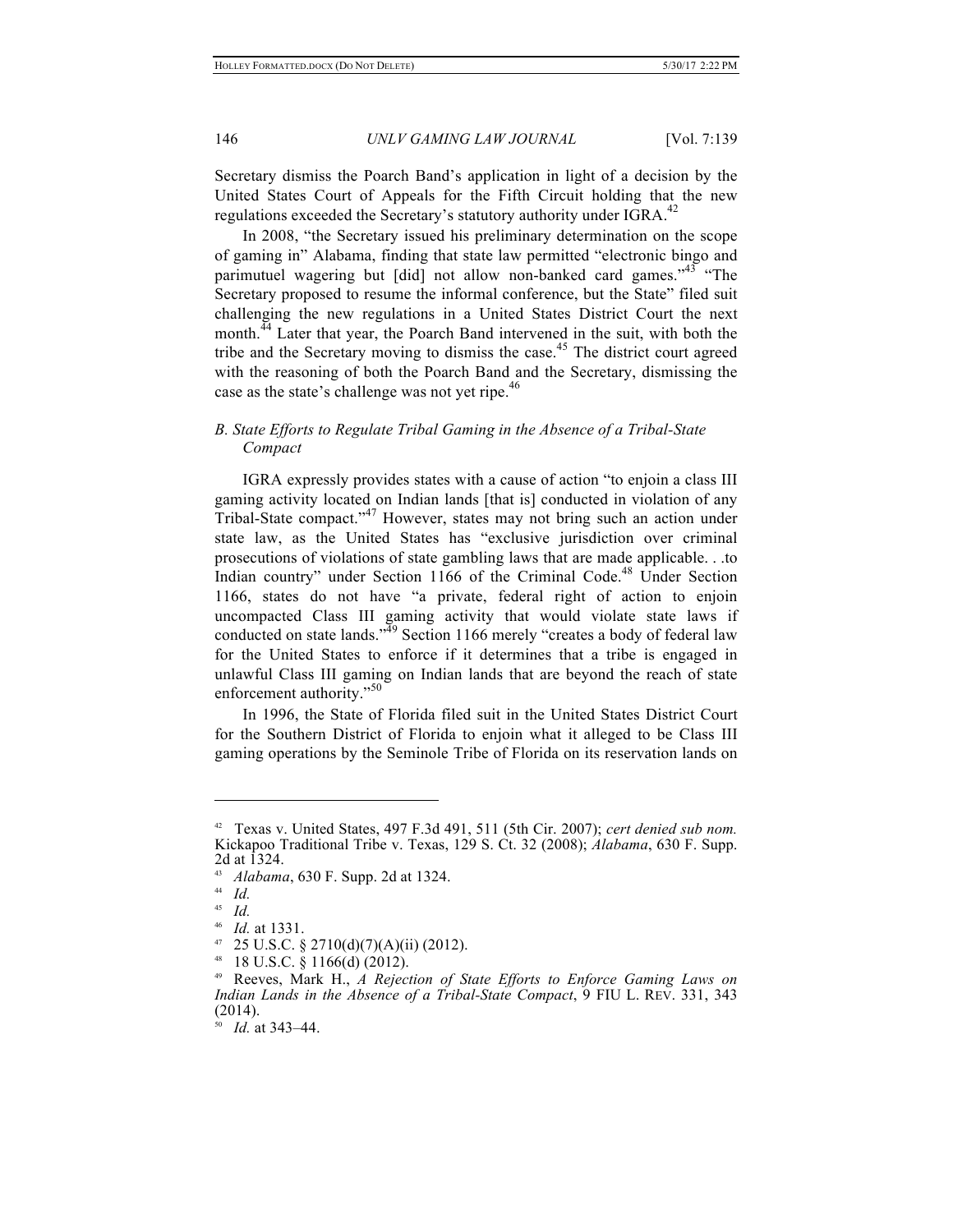Secretary dismiss the Poarch Band's application in light of a decision by the United States Court of Appeals for the Fifth Circuit holding that the new regulations exceeded the Secretary's statutory authority under IGRA.<sup>42</sup>

In 2008, "the Secretary issued his preliminary determination on the scope of gaming in" Alabama, finding that state law permitted "electronic bingo and parimutuel wagering but [did] not allow non-banked card games."<sup>43</sup> "The Secretary proposed to resume the informal conference, but the State" filed suit challenging the new regulations in a United States District Court the next month.<sup>44</sup> Later that year, the Poarch Band intervened in the suit, with both the tribe and the Secretary moving to dismiss the case.<sup>45</sup> The district court agreed with the reasoning of both the Poarch Band and the Secretary, dismissing the case as the state's challenge was not yet ripe.<sup>46</sup>

# *B. State Efforts to Regulate Tribal Gaming in the Absence of a Tribal-State Compact*

IGRA expressly provides states with a cause of action "to enjoin a class III gaming activity located on Indian lands [that is] conducted in violation of any Tribal-State compact." <sup>47</sup> However, states may not bring such an action under state law, as the United States has "exclusive jurisdiction over criminal prosecutions of violations of state gambling laws that are made applicable. . .to Indian country" under Section 1166 of the Criminal Code.<sup>48</sup> Under Section 1166, states do not have "a private, federal right of action to enjoin uncompacted Class III gaming activity that would violate state laws if conducted on state lands.<sup> $\frac{3}{4}$ 9 Section 1166 merely "creates a body of federal law</sup> for the United States to enforce if it determines that a tribe is engaged in unlawful Class III gaming on Indian lands that are beyond the reach of state enforcement authority."<sup>50</sup>

In 1996, the State of Florida filed suit in the United States District Court for the Southern District of Florida to enjoin what it alleged to be Class III gaming operations by the Seminole Tribe of Florida on its reservation lands on

<sup>42</sup> Texas v. United States, 497 F.3d 491, 511 (5th Cir. 2007); *cert denied sub nom.* Kickapoo Traditional Tribe v. Texas, 129 S. Ct. 32 (2008); *Alabama*, 630 F. Supp. 2d at 1324.

<sup>&</sup>lt;sup>43</sup> *Alabama*, 630 F. Supp. 2d at 1324.

 $\frac{44}{45}$  *Id.* 

<sup>45</sup> *Id.*

<sup>46</sup> *Id.* at 1331.

 $47$  25 U.S.C. § 2710(d)(7)(A)(ii) (2012).

 $48$  18 U.S.C. § 1166(d) (2012).

<sup>49</sup> Reeves, Mark H., *A Rejection of State Efforts to Enforce Gaming Laws on Indian Lands in the Absence of a Tribal-State Compact*, 9 FIU L. REV. 331, 343 (2014).

<sup>50</sup> *Id.* at 343–44.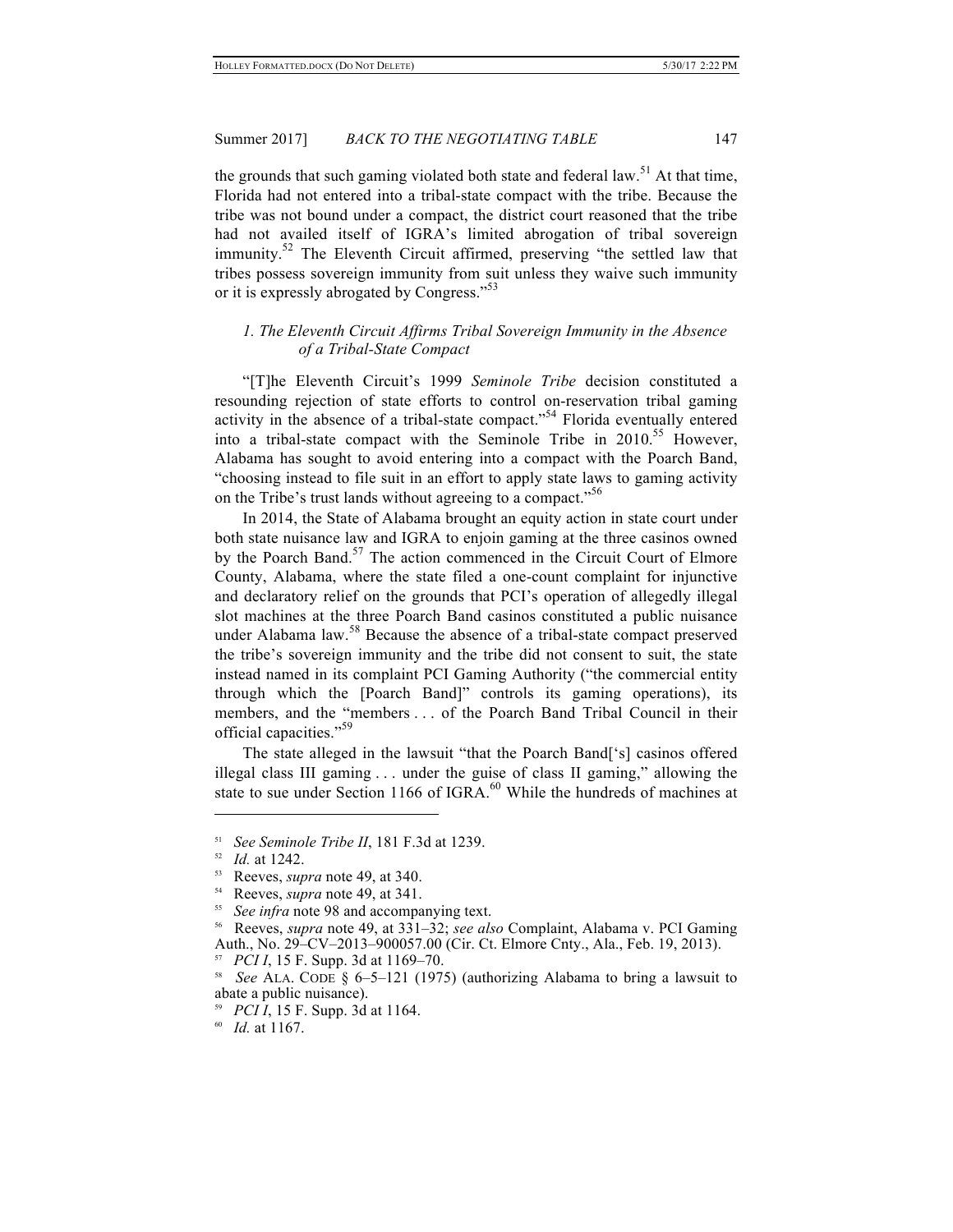the grounds that such gaming violated both state and federal law.<sup>51</sup> At that time, Florida had not entered into a tribal-state compact with the tribe. Because the tribe was not bound under a compact, the district court reasoned that the tribe had not availed itself of IGRA's limited abrogation of tribal sovereign immunity.<sup>52</sup> The Eleventh Circuit affirmed, preserving "the settled law that tribes possess sovereign immunity from suit unless they waive such immunity or it is expressly abrogated by Congress." 53

# *1. The Eleventh Circuit Affirms Tribal Sovereign Immunity in the Absence of a Tribal-State Compact*

"[T]he Eleventh Circuit's 1999 *Seminole Tribe* decision constituted a resounding rejection of state efforts to control on-reservation tribal gaming activity in the absence of a tribal-state compact." <sup>54</sup> Florida eventually entered into a tribal-state compact with the Seminole Tribe in 2010.<sup>55</sup> However, Alabama has sought to avoid entering into a compact with the Poarch Band, "choosing instead to file suit in an effort to apply state laws to gaming activity on the Tribe's trust lands without agreeing to a compact."<sup>56</sup>

In 2014, the State of Alabama brought an equity action in state court under both state nuisance law and IGRA to enjoin gaming at the three casinos owned by the Poarch Band.<sup>57</sup> The action commenced in the Circuit Court of Elmore County, Alabama, where the state filed a one-count complaint for injunctive and declaratory relief on the grounds that PCI's operation of allegedly illegal slot machines at the three Poarch Band casinos constituted a public nuisance under Alabama law.<sup>58</sup> Because the absence of a tribal-state compact preserved the tribe's sovereign immunity and the tribe did not consent to suit, the state instead named in its complaint PCI Gaming Authority ("the commercial entity through which the [Poarch Band]" controls its gaming operations), its members, and the "members . . . of the Poarch Band Tribal Council in their official capacities."<sup>59</sup>

The state alleged in the lawsuit "that the Poarch Band['s] casinos offered illegal class III gaming . . . under the guise of class II gaming," allowing the state to sue under Section 1166 of IGRA. $^{60}$  While the hundreds of machines at

<sup>51</sup> *See Seminole Tribe II*, 181 F.3d at 1239.

<sup>52</sup> *Id.* at 1242.

<sup>53</sup> Reeves, *supra* note 49, at 340.

<sup>54</sup> Reeves, *supra* note 49, at 341.

See *infra* note 98 and accompanying text.

<sup>56</sup> Reeves, *supra* note 49, at 331–32; *see also* Complaint, Alabama v. PCI Gaming Auth., No. 29–CV–2013–900057.00 (Cir. Ct. Elmore Cnty., Ala., Feb. 19, 2013).

<sup>57</sup> *PCI I*, 15 F. Supp. 3d at 1169–70.

<sup>58</sup> *See* ALA. CODE § 6–5–121 (1975) (authorizing Alabama to bring a lawsuit to abate a public nuisance).

<sup>59</sup> *PCI I*, 15 F. Supp. 3d at 1164.

<sup>60</sup> *Id.* at 1167.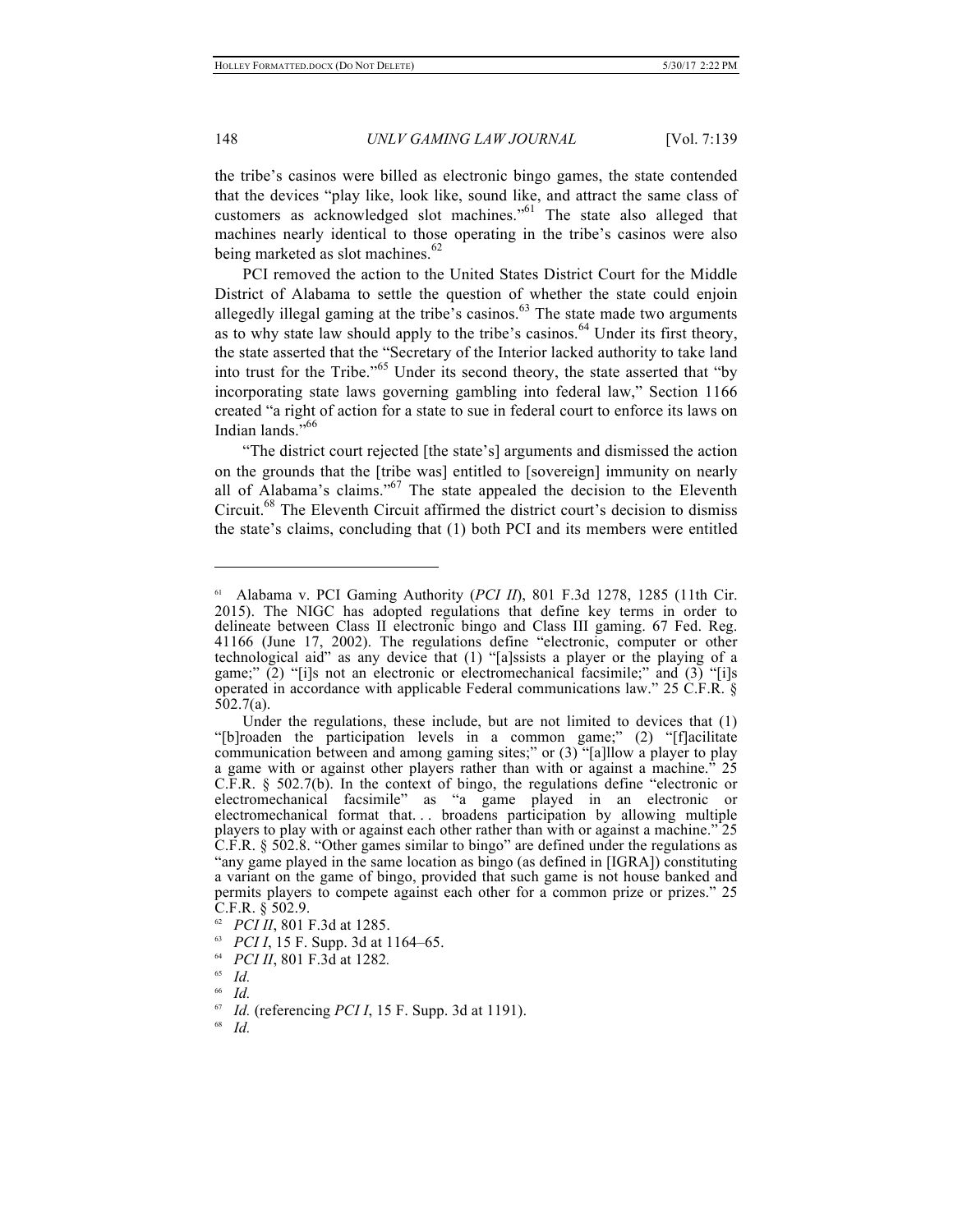the tribe's casinos were billed as electronic bingo games, the state contended that the devices "play like, look like, sound like, and attract the same class of customers as acknowledged slot machines."<sup>61</sup> The state also alleged that machines nearly identical to those operating in the tribe's casinos were also being marketed as slot machines.<sup>62</sup>

PCI removed the action to the United States District Court for the Middle District of Alabama to settle the question of whether the state could enjoin allegedly illegal gaming at the tribe's casinos. $63$  The state made two arguments as to why state law should apply to the tribe's casinos.<sup>64</sup> Under its first theory, the state asserted that the "Secretary of the Interior lacked authority to take land into trust for the Tribe." <sup>65</sup> Under its second theory, the state asserted that "by incorporating state laws governing gambling into federal law," Section 1166 created "a right of action for a state to sue in federal court to enforce its laws on Indian lands."<sup>66</sup>

"The district court rejected [the state's] arguments and dismissed the action on the grounds that the [tribe was] entitled to [sovereign] immunity on nearly all of Alabama's claims." <sup>67</sup> The state appealed the decision to the Eleventh Circuit.68 The Eleventh Circuit affirmed the district court's decision to dismiss the state's claims, concluding that (1) both PCI and its members were entitled

<sup>61</sup> Alabama v. PCI Gaming Authority (*PCI II*), 801 F.3d 1278, 1285 (11th Cir. 2015). The NIGC has adopted regulations that define key terms in order to delineate between Class II electronic bingo and Class III gaming. 67 Fed. Reg. 41166 (June 17, 2002). The regulations define "electronic, computer or other technological aid" as any device that (1) "[a]ssists a player or the playing of a game;" (2) "[i]s not an electronic or electromechanical facsimile;" and (3) "[i]s operated in accordance with applicable Federal communications law." 25 C.F.R. § 502.7(a).

Under the regulations, these include, but are not limited to devices that (1) "[b]roaden the participation levels in a common game;" (2) "[f]acilitate communication between and among gaming sites;" or (3) "[a]llow a player to play a game with or against other players rather than with or against a machine.<sup>"</sup> 25 C.F.R. § 502.7(b). In the context of bingo, the regulations define "electronic or electromechanical facsimile" as "a game played in an electronic or electromechanical format that. . . broadens participation by allowing multiple players to play with or against each other rather than with or against a machine." 25 C.F.R. § 502.8. "Other games similar to bingo" are defined under the regulations as "any game played in the same location as bingo (as defined in [IGRA]) constituting a variant on the game of bingo, provided that such game is not house banked and permits players to compete against each other for a common prize or prizes." 25  $C.F.R. \S 502.9.$ 

*PCI II*, 801 F.3d at 1285.

<sup>63</sup> *PCI I*, 15 F. Supp. 3d at 1164–65.

*PCI II*, 801 F.3d at 1282.

 $\int_{66}^{65}$  *Id.* 

 $\begin{array}{c} 66 \ 67 \ \hline \end{array}$  *Id.* 

*Id.* (referencing *PCI I*, 15 F. Supp. 3d at 1191).

<sup>68</sup> *Id.*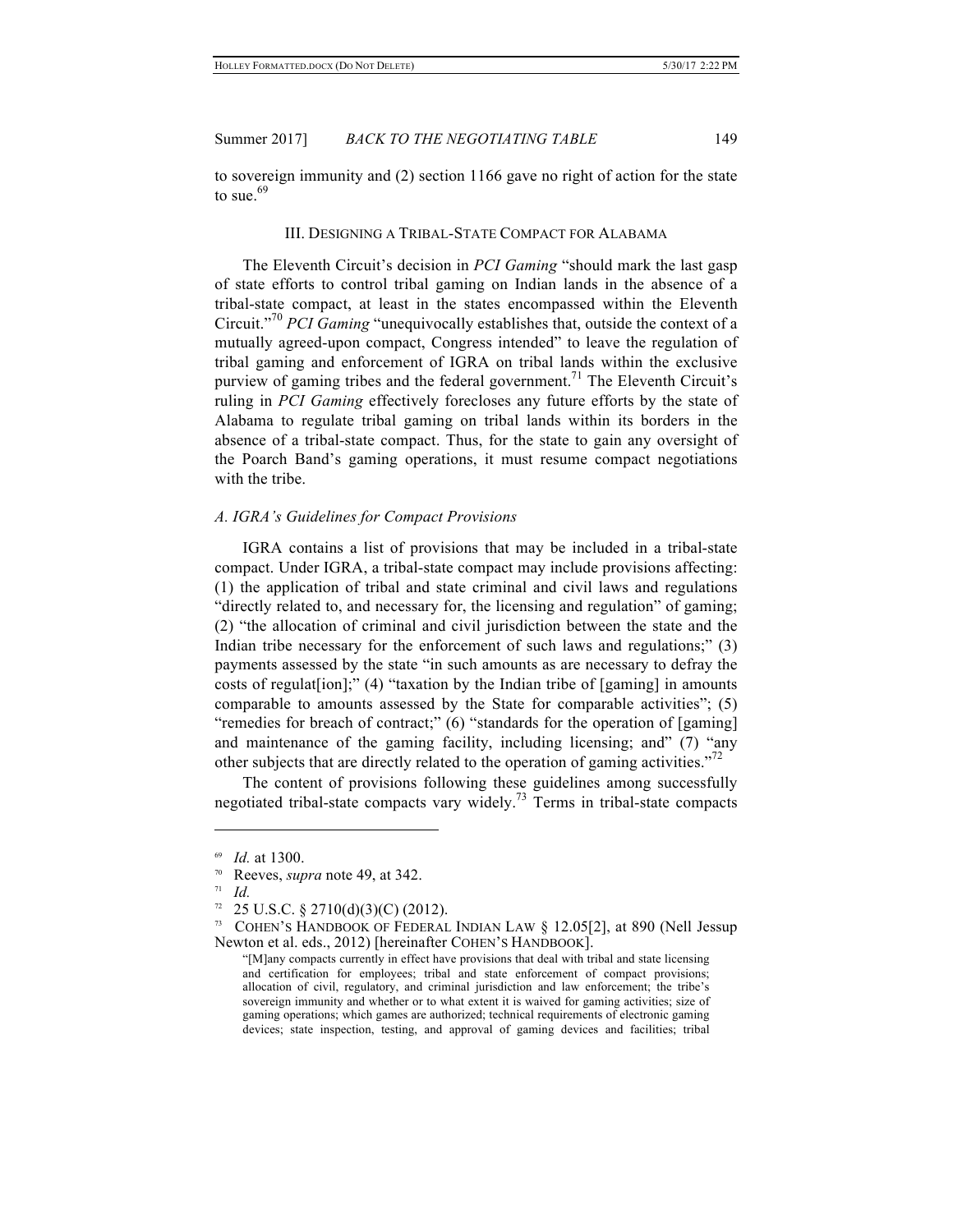to sovereign immunity and (2) section 1166 gave no right of action for the state to sue. $69$ 

#### III. DESIGNING A TRIBAL-STATE COMPACT FOR ALABAMA

The Eleventh Circuit's decision in *PCI Gaming* "should mark the last gasp of state efforts to control tribal gaming on Indian lands in the absence of a tribal-state compact, at least in the states encompassed within the Eleventh Circuit." <sup>70</sup> *PCI Gaming* "unequivocally establishes that, outside the context of a mutually agreed-upon compact, Congress intended" to leave the regulation of tribal gaming and enforcement of IGRA on tribal lands within the exclusive purview of gaming tribes and the federal government.<sup>71</sup> The Eleventh Circuit's ruling in *PCI Gaming* effectively forecloses any future efforts by the state of Alabama to regulate tribal gaming on tribal lands within its borders in the absence of a tribal-state compact. Thus, for the state to gain any oversight of the Poarch Band's gaming operations, it must resume compact negotiations with the tribe.

#### *A. IGRA's Guidelines for Compact Provisions*

IGRA contains a list of provisions that may be included in a tribal-state compact. Under IGRA, a tribal-state compact may include provisions affecting: (1) the application of tribal and state criminal and civil laws and regulations "directly related to, and necessary for, the licensing and regulation" of gaming; (2) "the allocation of criminal and civil jurisdiction between the state and the Indian tribe necessary for the enforcement of such laws and regulations;" (3) payments assessed by the state "in such amounts as are necessary to defray the costs of regulat [ion];" (4) "taxation by the Indian tribe of [gaming] in amounts comparable to amounts assessed by the State for comparable activities"; (5) "remedies for breach of contract;" (6) "standards for the operation of [gaming] and maintenance of the gaming facility, including licensing; and" (7) "any other subjects that are directly related to the operation of gaming activities."<sup>72</sup>

The content of provisions following these guidelines among successfully negotiated tribal-state compacts vary widely.<sup>73</sup> Terms in tribal-state compacts

*Id.* at 1300.

<sup>70</sup> Reeves, *supra* note 49, at 342.

<sup>71</sup> *Id.*

 $72$  25 U.S.C. § 2710(d)(3)(C) (2012).

<sup>&</sup>lt;sup>73</sup> COHEN'S HANDBOOK OF FEDERAL INDIAN LAW  $\S$  12.05[2], at 890 (Nell Jessup Newton et al. eds., 2012) [hereinafter COHEN'S HANDBOOK].

<sup>&</sup>quot;[M]any compacts currently in effect have provisions that deal with tribal and state licensing and certification for employees; tribal and state enforcement of compact provisions; allocation of civil, regulatory, and criminal jurisdiction and law enforcement; the tribe's sovereign immunity and whether or to what extent it is waived for gaming activities; size of gaming operations; which games are authorized; technical requirements of electronic gaming devices; state inspection, testing, and approval of gaming devices and facilities; tribal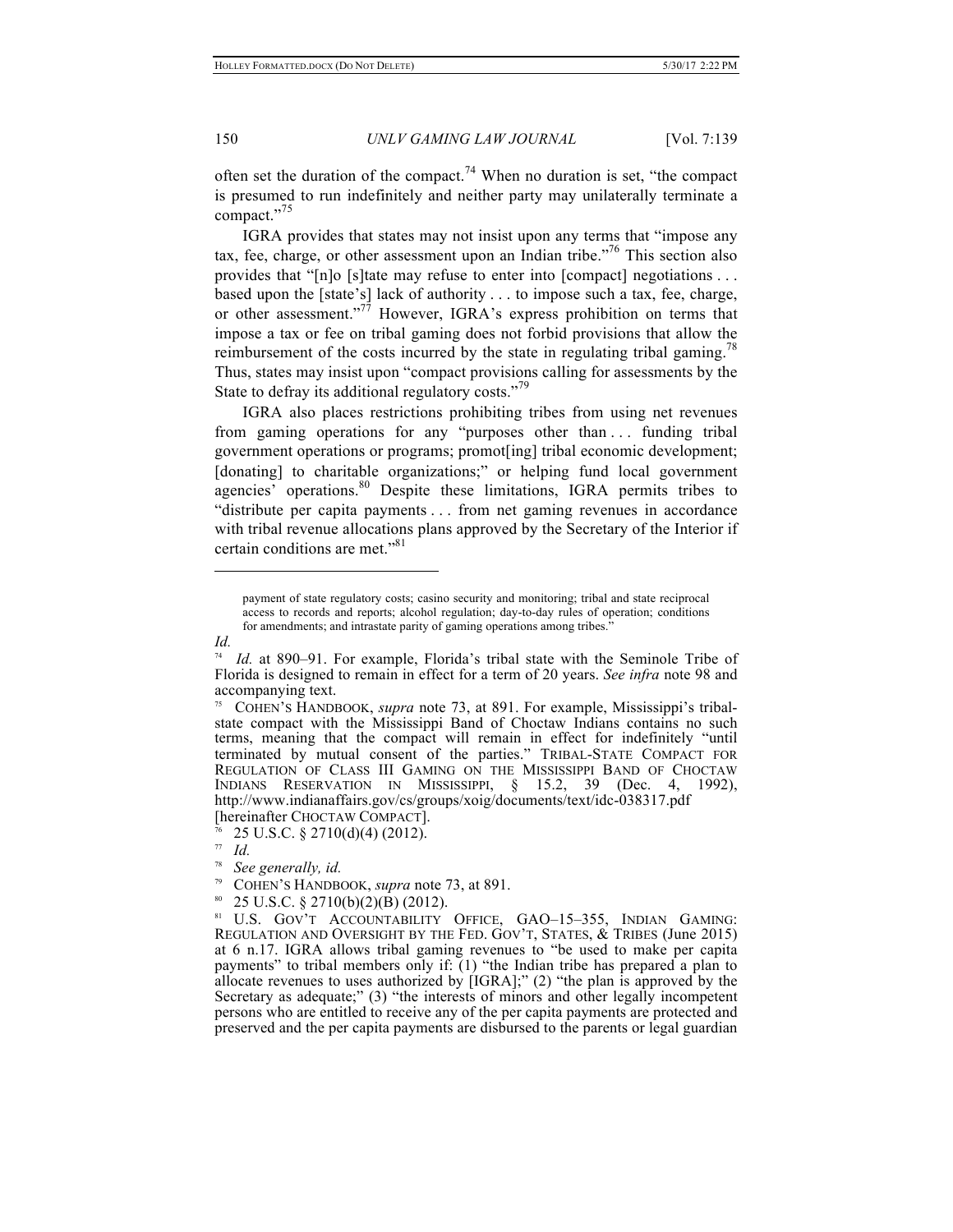often set the duration of the compact.<sup>74</sup> When no duration is set, "the compact" is presumed to run indefinitely and neither party may unilaterally terminate a compact." 75

IGRA provides that states may not insist upon any terms that "impose any tax, fee, charge, or other assessment upon an Indian tribe." <sup>76</sup> This section also provides that "[n]o [s]tate may refuse to enter into [compact] negotiations . . . based upon the [state's] lack of authority . . . to impose such a tax, fee, charge, or other assessment."<sup>77</sup> However, IGRA's express prohibition on terms that impose a tax or fee on tribal gaming does not forbid provisions that allow the reimbursement of the costs incurred by the state in regulating tribal gaming.<sup>78</sup> Thus, states may insist upon "compact provisions calling for assessments by the State to defray its additional regulatory costs."<sup>79</sup>

IGRA also places restrictions prohibiting tribes from using net revenues from gaming operations for any "purposes other than . . . funding tribal government operations or programs; promot[ing] tribal economic development; [donating] to charitable organizations;" or helping fund local government agencies' operations.<sup>80</sup> Despite these limitations, IGRA permits tribes to "distribute per capita payments . . . from net gaming revenues in accordance with tribal revenue allocations plans approved by the Secretary of the Interior if certain conditions are met."<sup>81</sup>

*Id.*

payment of state regulatory costs; casino security and monitoring; tribal and state reciprocal access to records and reports; alcohol regulation; day-to-day rules of operation; conditions for amendments; and intrastate parity of gaming operations among tribes."

<sup>&</sup>lt;sup>74</sup> *Id.* at 890–91. For example, Florida's tribal state with the Seminole Tribe of Florida is designed to remain in effect for a term of 20 years. *See infra* note 98 and accompanying text.

<sup>75</sup> COHEN'S HANDBOOK, *supra* note 73, at 891. For example, Mississippi's tribalstate compact with the Mississippi Band of Choctaw Indians contains no such terms, meaning that the compact will remain in effect for indefinitely "until terminated by mutual consent of the parties." TRIBAL-STATE COMPACT FOR REGULATION OF CLASS III GAMING ON THE MISSISSIPPI BAND OF CHOCTAW INDIANS RESERVATION IN MISSISSIPPI, § 15.2, 39 (Dec. 4, 1992), http://www.indianaffairs.gov/cs/groups/xoig/documents/text/idc-038317.pdf [hereinafter CHOCTAW COMPACT].

<sup>76</sup> 25 U.S.C. § 2710(d)(4) (2012).

<sup>77</sup> *Id.*

<sup>78</sup> *See generally, id.*

<sup>79</sup> COHEN'S HANDBOOK, *supra* note 73, at 891.

 $80$  25 U.S.C. § 2710(b)(2)(B) (2012).

<sup>81</sup> U.S. GOV'T ACCOUNTABILITY OFFICE, GAO–15–355, INDIAN GAMING: REGULATION AND OVERSIGHT BY THE FED. GOV'T, STATES, & TRIBES (June 2015) at 6 n.17. IGRA allows tribal gaming revenues to "be used to make per capita payments" to tribal members only if: (1) "the Indian tribe has prepared a plan to allocate revenues to uses authorized by [IGRA];" (2) "the plan is approved by the Secretary as adequate;" (3) "the interests of minors and other legally incompetent persons who are entitled to receive any of the per capita payments are protected and preserved and the per capita payments are disbursed to the parents or legal guardian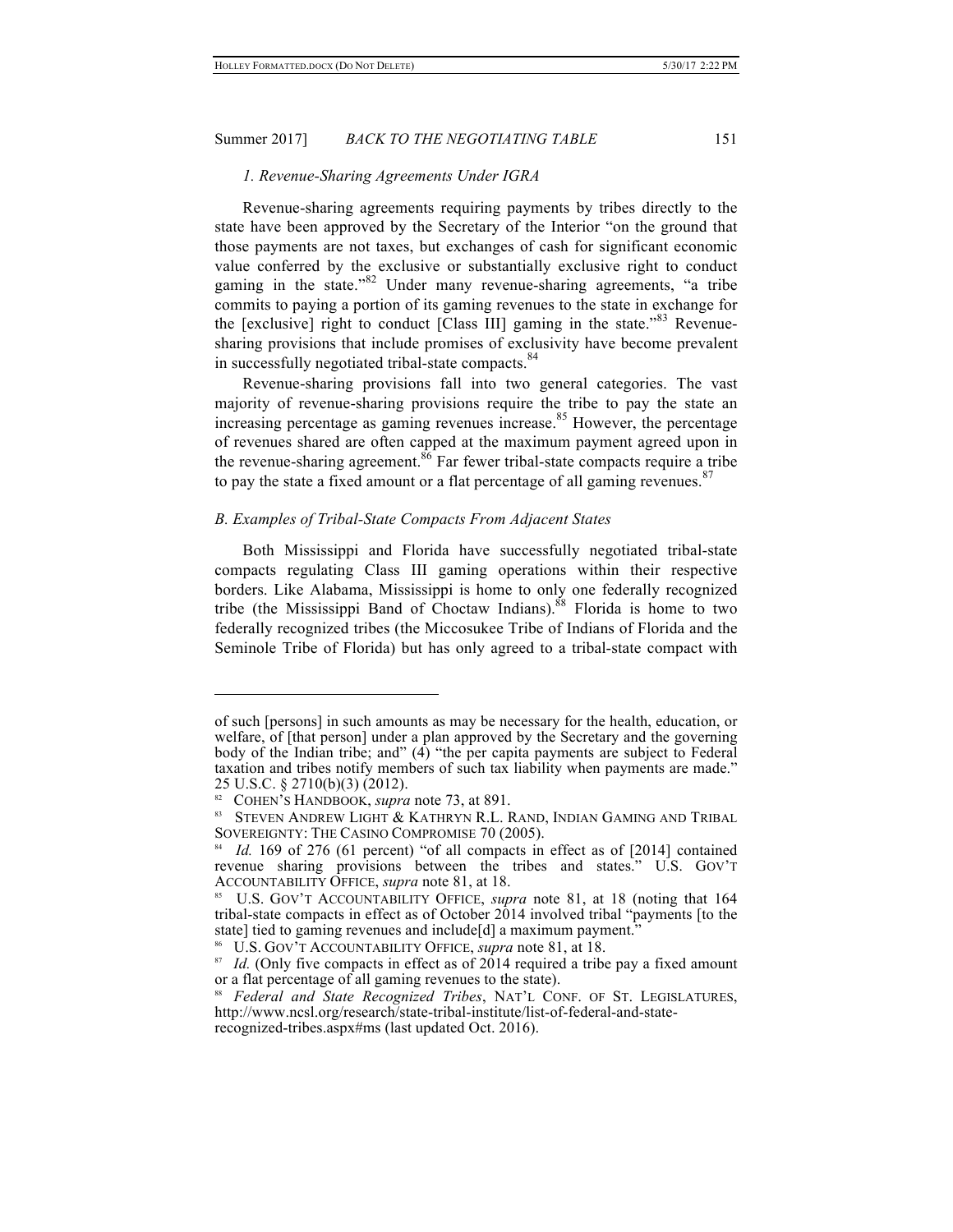#### *1. Revenue-Sharing Agreements Under IGRA*

Revenue-sharing agreements requiring payments by tribes directly to the state have been approved by the Secretary of the Interior "on the ground that those payments are not taxes, but exchanges of cash for significant economic value conferred by the exclusive or substantially exclusive right to conduct gaming in the state."<sup>82</sup> Under many revenue-sharing agreements, "a tribe commits to paying a portion of its gaming revenues to the state in exchange for the [exclusive] right to conduct [Class III] gaming in the state."<sup>83</sup> Revenuesharing provisions that include promises of exclusivity have become prevalent in successfully negotiated tribal-state compacts.<sup>84</sup>

Revenue-sharing provisions fall into two general categories. The vast majority of revenue-sharing provisions require the tribe to pay the state an increasing percentage as gaming revenues increase.<sup>85</sup> However, the percentage of revenues shared are often capped at the maximum payment agreed upon in the revenue-sharing agreement.<sup>86</sup> Far fewer tribal-state compacts require a tribe to pay the state a fixed amount or a flat percentage of all gaming revenues.<sup>87</sup>

## *B. Examples of Tribal-State Compacts From Adjacent States*

Both Mississippi and Florida have successfully negotiated tribal-state compacts regulating Class III gaming operations within their respective borders. Like Alabama, Mississippi is home to only one federally recognized tribe (the Mississippi Band of Choctaw Indians).<sup>88</sup> Florida is home to two federally recognized tribes (the Miccosukee Tribe of Indians of Florida and the Seminole Tribe of Florida) but has only agreed to a tribal-state compact with

of such [persons] in such amounts as may be necessary for the health, education, or welfare, of [that person] under a plan approved by the Secretary and the governing body of the Indian tribe; and" (4) "the per capita payments are subject to Federal taxation and tribes notify members of such tax liability when payments are made." 25 U.S.C. § 2710(b)(3) (2012).

<sup>82</sup> COHEN'S HANDBOOK, *supra* note 73, at 891.

<sup>83</sup> STEVEN ANDREW LIGHT & KATHRYN R.L. RAND, INDIAN GAMING AND TRIBAL SOVEREIGNTY: THE CASINO COMPROMISE 70 (2005).

<sup>84</sup> *Id.* 169 of 276 (61 percent) "of all compacts in effect as of [2014] contained revenue sharing provisions between the tribes and states." U.S. GOV'T ACCOUNTABILITY OFFICE, *supra* note 81, at 18.

U.S. GOV'T ACCOUNTABILITY OFFICE, *supra* note 81, at 18 (noting that 164 tribal-state compacts in effect as of October 2014 involved tribal "payments [to the state] tied to gaming revenues and include[d] a maximum payment.

<sup>86</sup> U.S. GOV'T ACCOUNTABILITY OFFICE, *supra* note 81, at 18.

<sup>&</sup>lt;sup>87</sup> *Id.* (Only five compacts in effect as of 2014 required a tribe pay a fixed amount or a flat percentage of all gaming revenues to the state).

<sup>88</sup> *Federal and State Recognized Tribes*, NAT'L CONF. OF ST. LEGISLATURES, http://www.ncsl.org/research/state-tribal-institute/list-of-federal-and-staterecognized-tribes.aspx#ms (last updated Oct. 2016).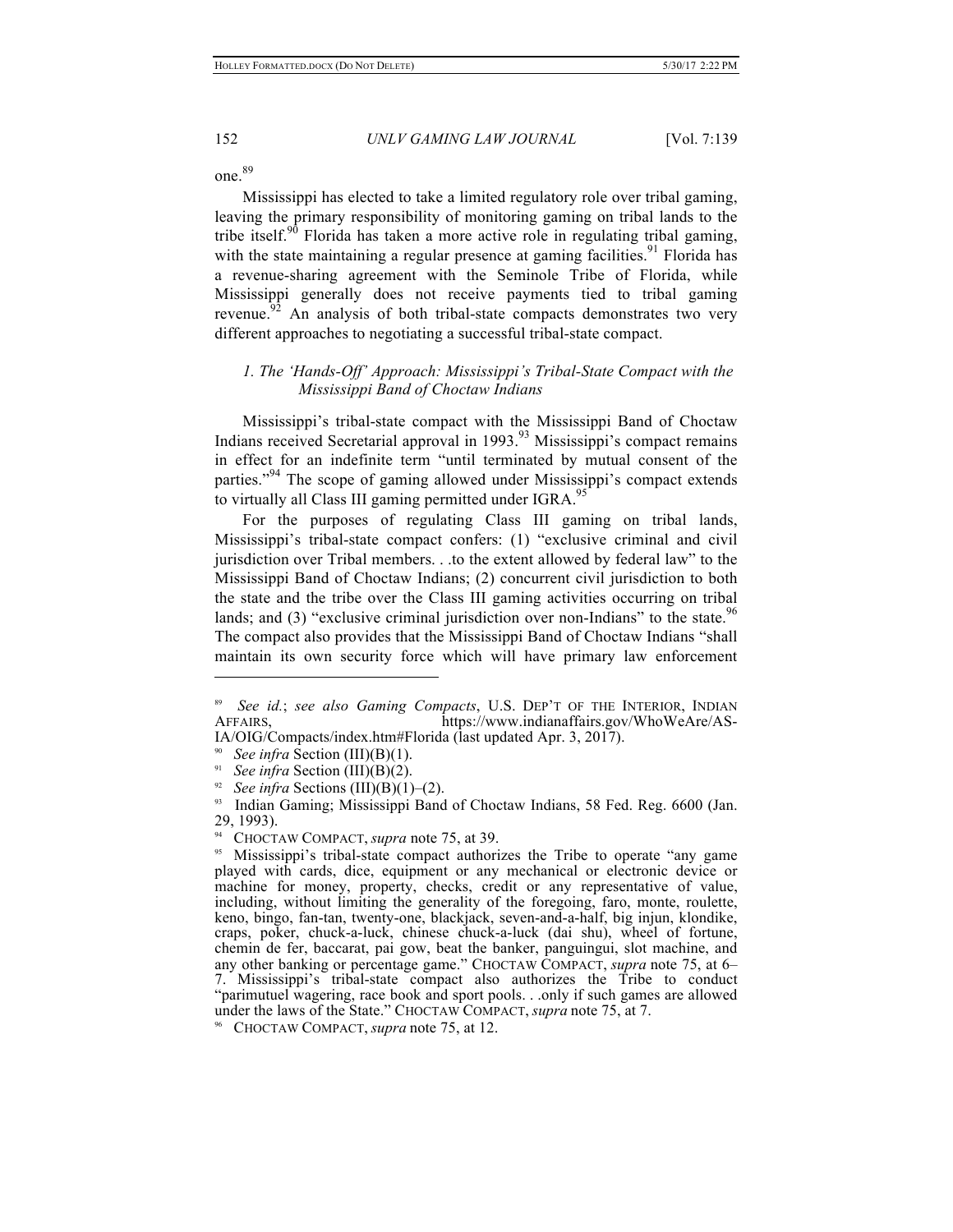one. 89

Mississippi has elected to take a limited regulatory role over tribal gaming, leaving the primary responsibility of monitoring gaming on tribal lands to the tribe itself.<sup>90</sup> Florida has taken a more active role in regulating tribal gaming, with the state maintaining a regular presence at gaming facilities.<sup>91</sup> Florida has a revenue-sharing agreement with the Seminole Tribe of Florida, while Mississippi generally does not receive payments tied to tribal gaming revenue.<sup>92</sup> An analysis of both tribal-state compacts demonstrates two very different approaches to negotiating a successful tribal-state compact.

# *1. The 'Hands-Off' Approach: Mississippi's Tribal-State Compact with the Mississippi Band of Choctaw Indians*

Mississippi's tribal-state compact with the Mississippi Band of Choctaw Indians received Secretarial approval in 1993.<sup>93</sup> Mississippi's compact remains in effect for an indefinite term "until terminated by mutual consent of the parties."<sup>94</sup> The scope of gaming allowed under Mississippi's compact extends to virtually all Class III gaming permitted under IGRA.<sup>95</sup>

For the purposes of regulating Class III gaming on tribal lands, Mississippi's tribal-state compact confers: (1) "exclusive criminal and civil jurisdiction over Tribal members. . .to the extent allowed by federal law" to the Mississippi Band of Choctaw Indians; (2) concurrent civil jurisdiction to both the state and the tribe over the Class III gaming activities occurring on tribal lands; and (3) "exclusive criminal jurisdiction over non-Indians" to the state.<sup>96</sup> The compact also provides that the Mississippi Band of Choctaw Indians "shall maintain its own security force which will have primary law enforcement

<sup>89</sup> *See id.*; *see also Gaming Compacts*, U.S. DEP'T OF THE INTERIOR, INDIAN AFFAIRS, https://www.indianaffairs.gov/WhoWeAre/AS-IA/OIG/Compacts/index.htm#Florida (last updated Apr. 3, 2017).

<sup>90</sup> *See infra* Section (III)(B)(1).

<sup>&</sup>lt;sup>91</sup> *See infra Section (III)(B)(2).* 

<sup>&</sup>lt;sup>92</sup> *See infra* Sections (III)(B)(1)–(2).

<sup>&</sup>lt;sup>93</sup> Indian Gaming; Mississippi Band of Choctaw Indians, 58 Fed. Reg. 6600 (Jan. 29, 1993).

<sup>&</sup>lt;sup>94</sup> CHOCTAW COMPACT, *supra* note 75, at 39.<br><sup>95</sup> Mississinni's tribal-state compact authori

Mississippi's tribal-state compact authorizes the Tribe to operate "any game" played with cards, dice, equipment or any mechanical or electronic device or machine for money, property, checks, credit or any representative of value, including, without limiting the generality of the foregoing, faro, monte, roulette, keno, bingo, fan-tan, twenty-one, blackjack, seven-and-a-half, big injun, klondike, craps, poker, chuck-a-luck, chinese chuck-a-luck (dai shu), wheel of fortune, chemin de fer, baccarat, pai gow, beat the banker, panguingui, slot machine, and any other banking or percentage game." CHOCTAW COMPACT, *supra* note 75, at 6– 7. Mississippi's tribal-state compact also authorizes the Tribe to conduct "parimutuel wagering, race book and sport pools. . .only if such games are allowed under the laws of the State." CHOCTAW COMPACT, *supra* note 75, at 7.

<sup>96</sup> CHOCTAW COMPACT, *supra* note 75, at 12.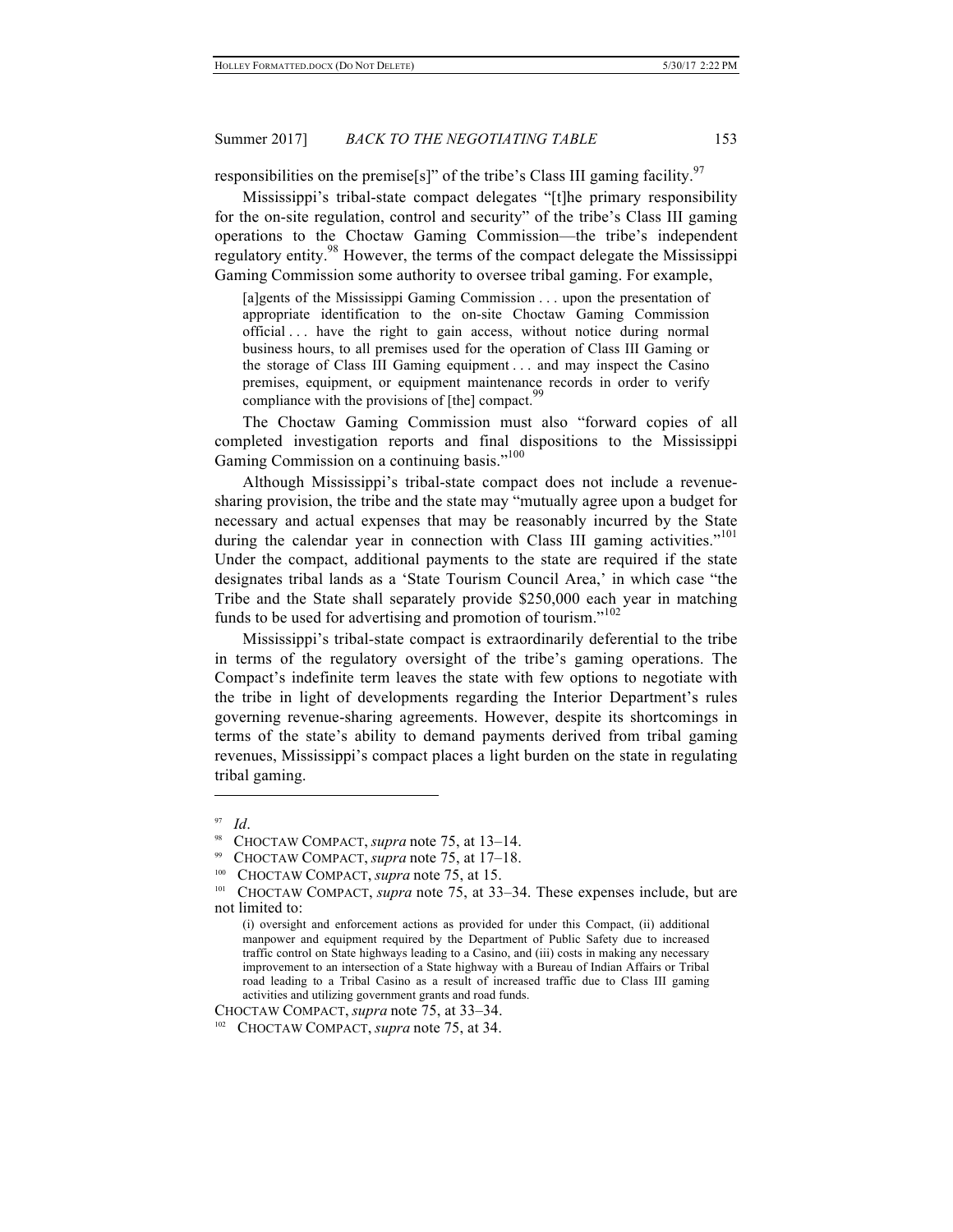responsibilities on the premise[s]" of the tribe's Class III gaming facility.<sup>97</sup>

Mississippi's tribal-state compact delegates "[t]he primary responsibility for the on-site regulation, control and security" of the tribe's Class III gaming operations to the Choctaw Gaming Commission—the tribe's independent regulatory entity.<sup>98</sup> However, the terms of the compact delegate the Mississippi Gaming Commission some authority to oversee tribal gaming. For example,

[a]gents of the Mississippi Gaming Commission . . . upon the presentation of appropriate identification to the on-site Choctaw Gaming Commission official . . . have the right to gain access, without notice during normal business hours, to all premises used for the operation of Class III Gaming or the storage of Class III Gaming equipment . . . and may inspect the Casino premises, equipment, or equipment maintenance records in order to verify compliance with the provisions of  $[the]$  compact.<sup>9</sup>

The Choctaw Gaming Commission must also "forward copies of all completed investigation reports and final dispositions to the Mississippi Gaming Commission on a continuing basis."<sup>100</sup>

Although Mississippi's tribal-state compact does not include a revenuesharing provision, the tribe and the state may "mutually agree upon a budget for necessary and actual expenses that may be reasonably incurred by the State during the calendar year in connection with Class III gaming activities."<sup>101</sup> Under the compact, additional payments to the state are required if the state designates tribal lands as a 'State Tourism Council Area,' in which case "the Tribe and the State shall separately provide \$250,000 each year in matching funds to be used for advertising and promotion of tourism."<sup>102</sup>

Mississippi's tribal-state compact is extraordinarily deferential to the tribe in terms of the regulatory oversight of the tribe's gaming operations. The Compact's indefinite term leaves the state with few options to negotiate with the tribe in light of developments regarding the Interior Department's rules governing revenue-sharing agreements. However, despite its shortcomings in terms of the state's ability to demand payments derived from tribal gaming revenues, Mississippi's compact places a light burden on the state in regulating tribal gaming.

 $\overline{a}$ 

CHOCTAW COMPACT, *supra* note 75, at 33–34.

 $\frac{97}{98}$  *Id.* 

<sup>98</sup> CHOCTAW COMPACT, *supra* note 75, at 13–14.

<sup>99</sup> CHOCTAW COMPACT, *supra* note 75, at 17–18.

<sup>&</sup>lt;sup>100</sup> CHOCTAW COMPACT, *supra* note 75, at 15.

<sup>101</sup> CHOCTAW COMPACT, *supra* note 75, at 33–34. These expenses include, but are not limited to:

<sup>(</sup>i) oversight and enforcement actions as provided for under this Compact, (ii) additional manpower and equipment required by the Department of Public Safety due to increased traffic control on State highways leading to a Casino, and (iii) costs in making any necessary improvement to an intersection of a State highway with a Bureau of Indian Affairs or Tribal road leading to a Tribal Casino as a result of increased traffic due to Class III gaming activities and utilizing government grants and road funds.

<sup>102</sup> CHOCTAW COMPACT, *supra* note 75, at 34.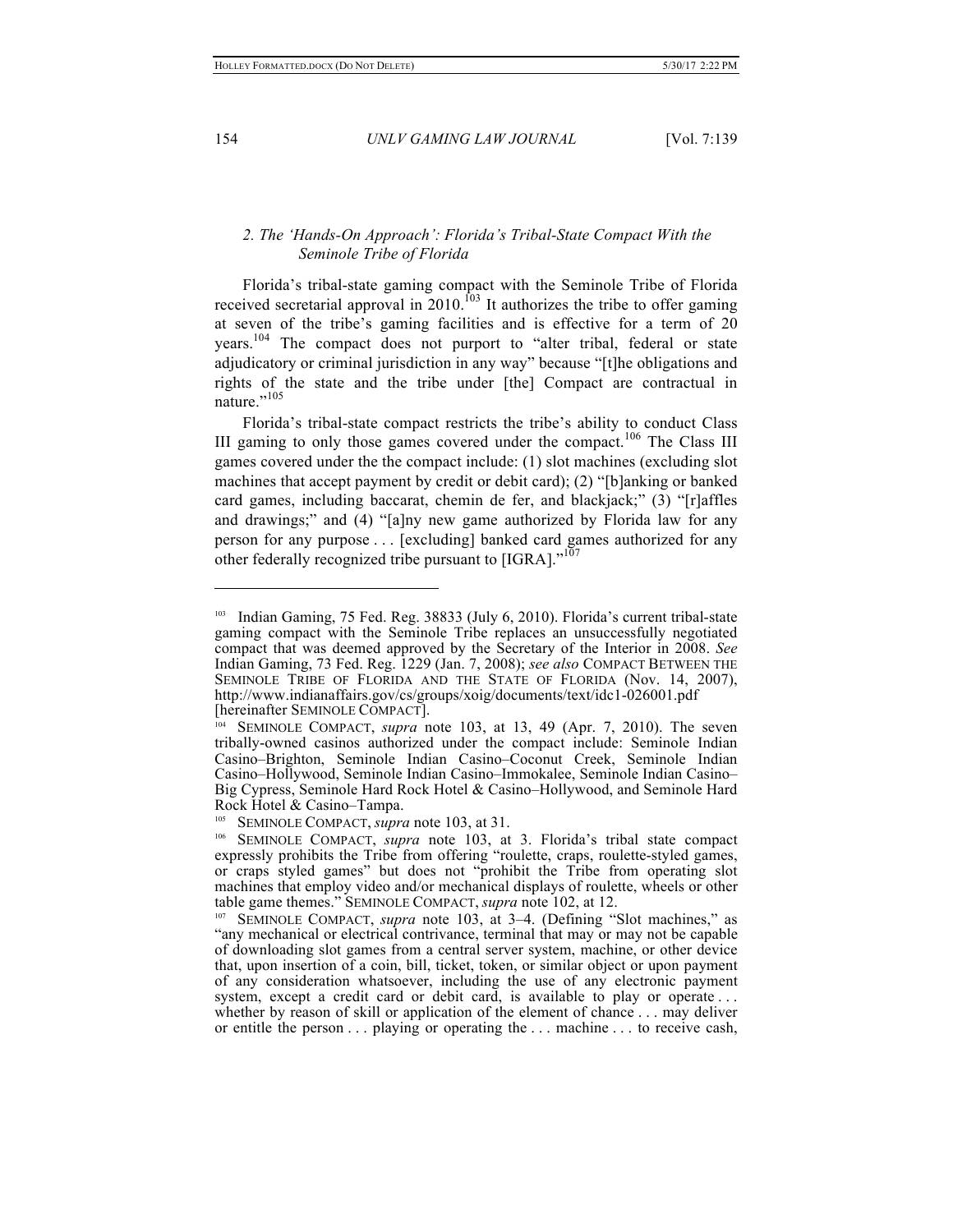# *2. The 'Hands-On Approach': Florida's Tribal-State Compact With the Seminole Tribe of Florida*

Florida's tribal-state gaming compact with the Seminole Tribe of Florida received secretarial approval in  $2010$ .<sup>103</sup> It authorizes the tribe to offer gaming at seven of the tribe's gaming facilities and is effective for a term of 20 years.<sup>104</sup> The compact does not purport to "alter tribal, federal or state adjudicatory or criminal jurisdiction in any way" because "[t]he obligations and rights of the state and the tribe under [the] Compact are contractual in nature."<sup>105</sup>

Florida's tribal-state compact restricts the tribe's ability to conduct Class III gaming to only those games covered under the compact.<sup>106</sup> The Class III games covered under the the compact include: (1) slot machines (excluding slot machines that accept payment by credit or debit card); (2) "[b]anking or banked card games, including baccarat, chemin de fer, and blackjack;" (3) "[r]affles and drawings;" and (4) "[a]ny new game authorized by Florida law for any person for any purpose . . . [excluding] banked card games authorized for any other federally recognized tribe pursuant to  $[IGRA]$ ."<sup>107</sup>

Indian Gaming, 75 Fed. Reg. 38833 (July 6, 2010). Florida's current tribal-state gaming compact with the Seminole Tribe replaces an unsuccessfully negotiated compact that was deemed approved by the Secretary of the Interior in 2008. *See*  Indian Gaming, 73 Fed. Reg. 1229 (Jan. 7, 2008); *see also* COMPACT BETWEEN THE SEMINOLE TRIBE OF FLORIDA AND THE STATE OF FLORIDA (Nov. 14, 2007), http://www.indianaffairs.gov/cs/groups/xoig/documents/text/idc1-026001.pdf [hereinafter SEMINOLE COMPACT].

<sup>104</sup> SEMINOLE COMPACT, *supra* note 103, at 13, 49 (Apr. 7, 2010). The seven tribally-owned casinos authorized under the compact include: Seminole Indian Casino–Brighton, Seminole Indian Casino–Coconut Creek, Seminole Indian Casino–Hollywood, Seminole Indian Casino–Immokalee, Seminole Indian Casino– Big Cypress, Seminole Hard Rock Hotel & Casino–Hollywood, and Seminole Hard Rock Hotel & Casino–Tampa.

SEMINOLE COMPACT, *supra* note 103, at 31.

<sup>106</sup> SEMINOLE COMPACT, *supra* note 103, at 3. Florida's tribal state compact expressly prohibits the Tribe from offering "roulette, craps, roulette-styled games, or craps styled games" but does not "prohibit the Tribe from operating slot machines that employ video and/or mechanical displays of roulette, wheels or other table game themes." SEMINOLE COMPACT, *supra* note 102, at 12.

<sup>107</sup> SEMINOLE COMPACT, *supra* note 103, at 3–4. (Defining "Slot machines," as "any mechanical or electrical contrivance, terminal that may or may not be capable of downloading slot games from a central server system, machine, or other device that, upon insertion of a coin, bill, ticket, token, or similar object or upon payment of any consideration whatsoever, including the use of any electronic payment system, except a credit card or debit card, is available to play or operate ...

whether by reason of skill or application of the element of chance . . . may deliver or entitle the person . . . playing or operating the . . . machine . . . to receive cash,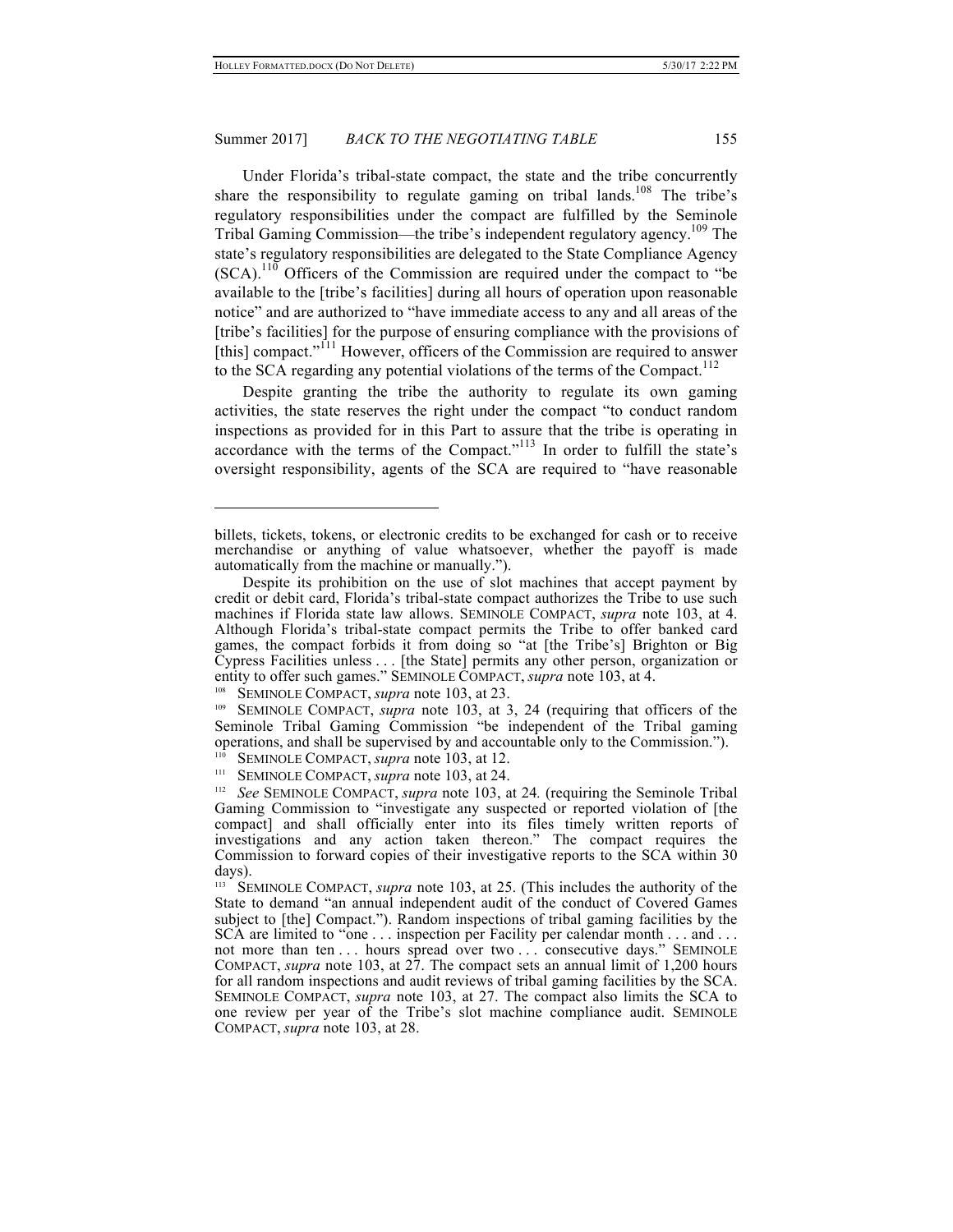Under Florida's tribal-state compact, the state and the tribe concurrently share the responsibility to regulate gaming on tribal lands.<sup>108</sup> The tribe's regulatory responsibilities under the compact are fulfilled by the Seminole Tribal Gaming Commission—the tribe's independent regulatory agency.109 The state's regulatory responsibilities are delegated to the State Compliance Agency  $(SCA)$ <sup>110</sup> Officers of the Commission are required under the compact to "be" available to the [tribe's facilities] during all hours of operation upon reasonable notice" and are authorized to "have immediate access to any and all areas of the [tribe's facilities] for the purpose of ensuring compliance with the provisions of [this] compact."<sup>[11</sup> However, officers of the Commission are required to answer to the SCA regarding any potential violations of the terms of the Compact.<sup>112</sup>

Despite granting the tribe the authority to regulate its own gaming activities, the state reserves the right under the compact "to conduct random inspections as provided for in this Part to assure that the tribe is operating in accordance with the terms of the Compact."<sup>113</sup> In order to fulfill the state's oversight responsibility, agents of the SCA are required to "have reasonable

<sup>108</sup> SEMINOLE COMPACT, *supra* note 103, at 23.

billets, tickets, tokens, or electronic credits to be exchanged for cash or to receive merchandise or anything of value whatsoever, whether the payoff is made automatically from the machine or manually.").

Despite its prohibition on the use of slot machines that accept payment by credit or debit card, Florida's tribal-state compact authorizes the Tribe to use such machines if Florida state law allows. SEMINOLE COMPACT, *supra* note 103, at 4. Although Florida's tribal-state compact permits the Tribe to offer banked card games, the compact forbids it from doing so "at [the Tribe's] Brighton or Big Cypress Facilities unless . . . [the State] permits any other person, organization or entity to offer such games." SEMINOLE COMPACT, *supra* note 103, at 4.

<sup>109</sup> SEMINOLE COMPACT, *supra* note 103, at 3, 24 (requiring that officers of the Seminole Tribal Gaming Commission "be independent of the Tribal gaming operations, and shall be supervised by and accountable only to the Commission."). <sup>110</sup> SEMINOLE COMPACT, *supra* note 103, at 12.

<sup>111</sup> SEMINOLE COMPACT, *supra* note 103, at 24.

<sup>112</sup> *See* SEMINOLE COMPACT, *supra* note 103, at 24*.* (requiring the Seminole Tribal Gaming Commission to "investigate any suspected or reported violation of [the compact] and shall officially enter into its files timely written reports of investigations and any action taken thereon." The compact requires the Commission to forward copies of their investigative reports to the SCA within 30 days).

<sup>113</sup> SEMINOLE COMPACT, *supra* note 103, at 25. (This includes the authority of the State to demand "an annual independent audit of the conduct of Covered Games subject to [the] Compact."). Random inspections of tribal gaming facilities by the SCA are limited to "one . . . inspection per Facility per calendar month . . . and . . . not more than ten . . . hours spread over two . . . consecutive days." SEMINOLE COMPACT, *supra* note 103, at 27. The compact sets an annual limit of 1,200 hours for all random inspections and audit reviews of tribal gaming facilities by the SCA. SEMINOLE COMPACT, *supra* note 103, at 27. The compact also limits the SCA to one review per year of the Tribe's slot machine compliance audit. SEMINOLE COMPACT, *supra* note 103, at 28.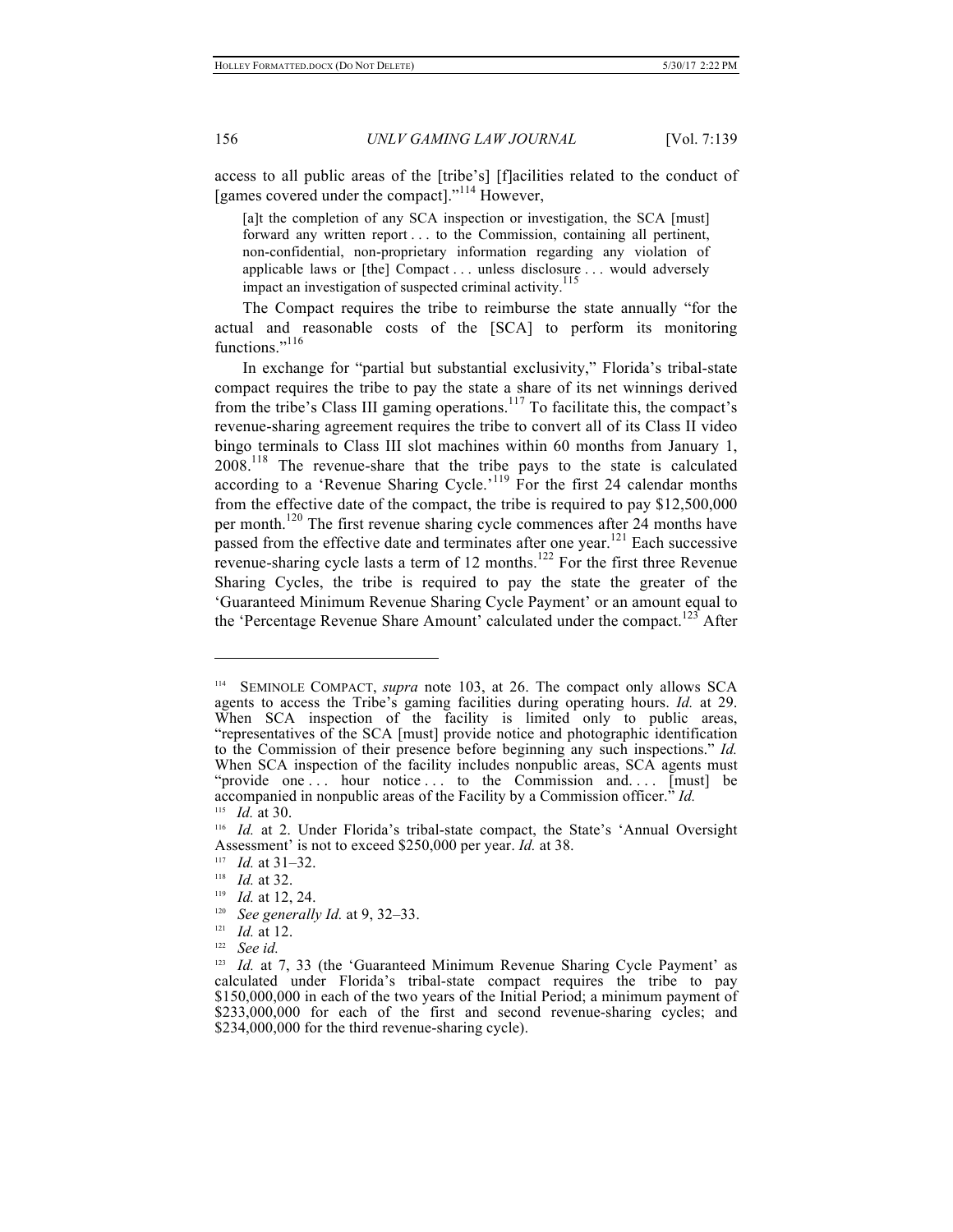access to all public areas of the [tribe's] [f]acilities related to the conduct of [games covered under the compact]."<sup>114</sup> However,

[a]t the completion of any SCA inspection or investigation, the SCA [must] forward any written report . . . to the Commission, containing all pertinent, non-confidential, non-proprietary information regarding any violation of applicable laws or [the] Compact . . . unless disclosure . . . would adversely impact an investigation of suspected criminal activity.<sup>115</sup>

The Compact requires the tribe to reimburse the state annually "for the actual and reasonable costs of the [SCA] to perform its monitoring functions."<sup>116</sup>

In exchange for "partial but substantial exclusivity," Florida's tribal-state compact requires the tribe to pay the state a share of its net winnings derived from the tribe's Class III gaming operations.<sup>117</sup> To facilitate this, the compact's revenue-sharing agreement requires the tribe to convert all of its Class II video bingo terminals to Class III slot machines within 60 months from January 1,  $2008$ <sup>118</sup> The revenue-share that the tribe pays to the state is calculated according to a 'Revenue Sharing Cycle.'<sup>119</sup> For the first 24 calendar months from the effective date of the compact, the tribe is required to pay \$12,500,000 per month.<sup>120</sup> The first revenue sharing cycle commences after 24 months have passed from the effective date and terminates after one year.<sup>121</sup> Each successive revenue-sharing cycle lasts a term of 12 months.<sup>122</sup> For the first three Revenue Sharing Cycles, the tribe is required to pay the state the greater of the 'Guaranteed Minimum Revenue Sharing Cycle Payment' or an amount equal to the 'Percentage Revenue Share Amount' calculated under the compact.<sup>123</sup> After

<sup>114</sup> SEMINOLE COMPACT, *supra* note 103, at 26. The compact only allows SCA agents to access the Tribe's gaming facilities during operating hours. *Id.* at 29. When SCA inspection of the facility is limited only to public areas, "representatives of the SCA [must] provide notice and photographic identification to the Commission of their presence before beginning any such inspections." *Id.* When SCA inspection of the facility includes nonpublic areas, SCA agents must "provide one ... hour notice ... to the Commission and.... [must] be accompanied in nonpublic areas of the Facility by a Commission officer." *Id.* <sup>115</sup> *Id.* at 30.

<sup>116</sup> *Id.* at 2. Under Florida's tribal-state compact, the State's 'Annual Oversight Assessment' is not to exceed \$250,000 per year. *Id.* at 38.

<sup>117</sup> *Id.* at 31–32.

<sup>118</sup> *Id.* at 32.

<sup>119</sup> *Id.* at 12, 24.

<sup>&</sup>lt;sup>120</sup> *See generally Id.* at 9, 32–33.<br><sup>121</sup> *Id.* at 12

<sup>&</sup>lt;sup>121</sup> *Id.* at 12.

See *id.* 

<sup>&</sup>lt;sup>123</sup> *Id.* at 7, 33 (the 'Guaranteed Minimum Revenue Sharing Cycle Payment' as calculated under Florida's tribal-state compact requires the tribe to pay \$150,000,000 in each of the two years of the Initial Period; a minimum payment of \$233,000,000 for each of the first and second revenue-sharing cycles; and \$234,000,000 for the third revenue-sharing cycle).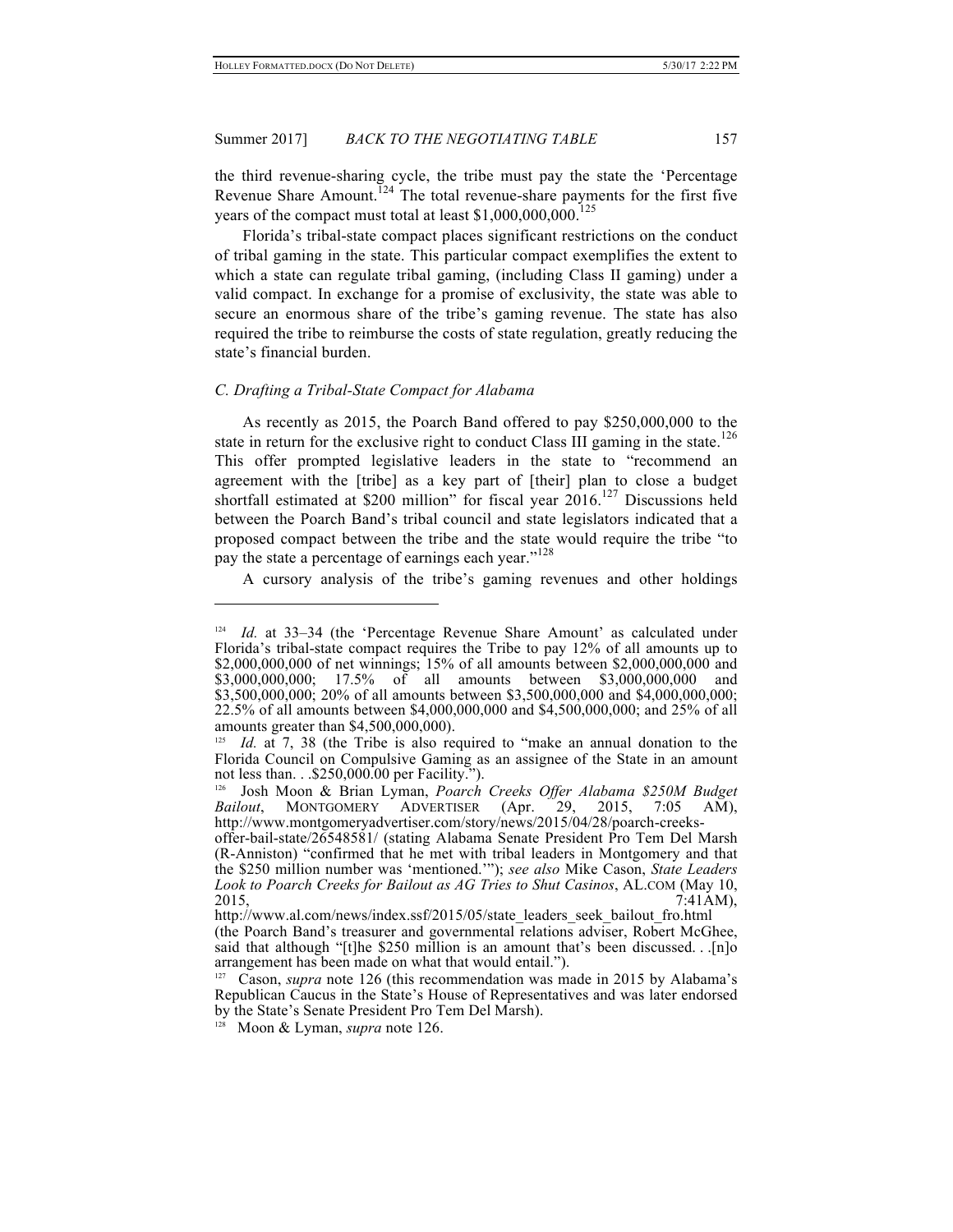the third revenue-sharing cycle, the tribe must pay the state the 'Percentage Revenue Share Amount.<sup>124</sup> The total revenue-share payments for the first five years of the compact must total at least \$1,000,000,000.<sup>125</sup>

Florida's tribal-state compact places significant restrictions on the conduct of tribal gaming in the state. This particular compact exemplifies the extent to which a state can regulate tribal gaming, (including Class II gaming) under a valid compact. In exchange for a promise of exclusivity, the state was able to secure an enormous share of the tribe's gaming revenue. The state has also required the tribe to reimburse the costs of state regulation, greatly reducing the state's financial burden.

#### *C. Drafting a Tribal-State Compact for Alabama*

 $\overline{a}$ 

As recently as 2015, the Poarch Band offered to pay \$250,000,000 to the state in return for the exclusive right to conduct Class III gaming in the state.<sup>126</sup> This offer prompted legislative leaders in the state to "recommend an agreement with the [tribe] as a key part of [their] plan to close a budget shortfall estimated at \$200 million" for fiscal year 2016.<sup>127</sup> Discussions held between the Poarch Band's tribal council and state legislators indicated that a proposed compact between the tribe and the state would require the tribe "to pay the state a percentage of earnings each year."<sup>128</sup>

A cursory analysis of the tribe's gaming revenues and other holdings

Id. at 33-34 (the 'Percentage Revenue Share Amount' as calculated under Florida's tribal-state compact requires the Tribe to pay 12% of all amounts up to \$2,000,000,000 of net winnings; 15% of all amounts between \$2,000,000,000 and \$3,000,000,000; 17.5% of all amounts between \$3,000,000,000 and \$3,500,000,000; 20% of all amounts between \$3,500,000,000 and \$4,000,000,000; 22.5% of all amounts between \$4,000,000,000 and \$4,500,000,000; and 25% of all amounts greater than \$4,500,000,000).

*Id.* at 7, 38 (the Tribe is also required to "make an annual donation to the Florida Council on Compulsive Gaming as an assignee of the State in an amount not less than. . .\$250,000.00 per Facility.").

<sup>126</sup> Josh Moon & Brian Lyman, *Poarch Creeks Offer Alabama \$250M Budget Bailout*, MONTGOMERY ADVERTISER (Apr. 29, 2015, 7:05 AM), http://www.montgomeryadvertiser.com/story/news/2015/04/28/poarch-creeks-

offer-bail-state/26548581/ (stating Alabama Senate President Pro Tem Del Marsh (R-Anniston) "confirmed that he met with tribal leaders in Montgomery and that the \$250 million number was 'mentioned.'"); *see also* Mike Cason, *State Leaders Look to Poarch Creeks for Bailout as AG Tries to Shut Casinos*, AL.COM (May 10, 2015, 7:41AM),

http://www.al.com/news/index.ssf/2015/05/state\_leaders\_seek\_bailout\_fro.html (the Poarch Band's treasurer and governmental relations adviser, Robert McGhee, said that although "[t]he \$250 million is an amount that's been discussed. . .[n]o arrangement has been made on what that would entail.").

<sup>&</sup>lt;sup>127</sup> Cason, *supra* note 126 (this recommendation was made in 2015 by Alabama's Republican Caucus in the State's House of Representatives and was later endorsed by the State's Senate President Pro Tem Del Marsh).

Moon & Lyman, *supra* note 126.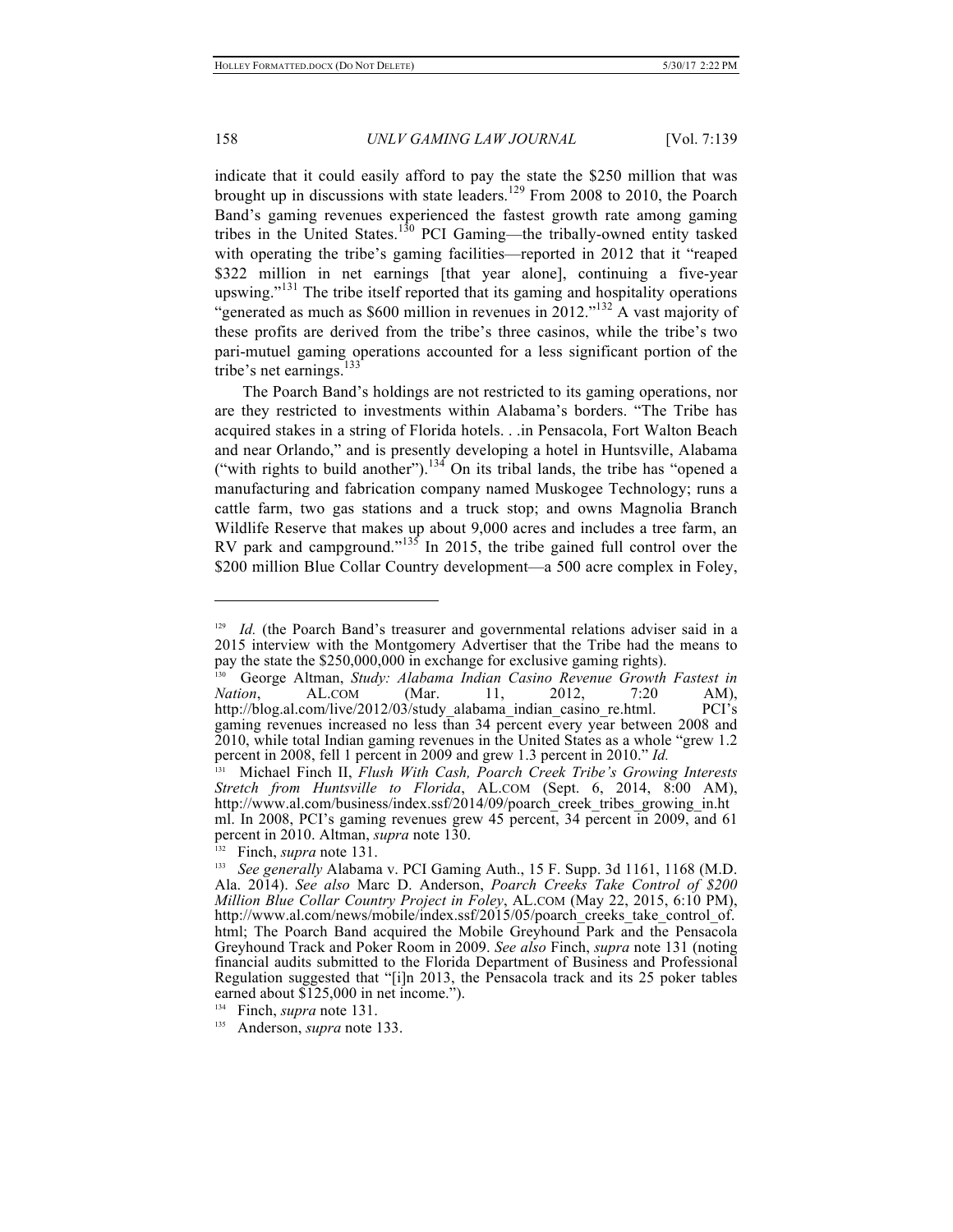$\overline{a}$ 

## 158 *UNLV GAMING LAW JOURNAL* [Vol. 7:139

indicate that it could easily afford to pay the state the \$250 million that was brought up in discussions with state leaders.<sup>129</sup> From 2008 to 2010, the Poarch Band's gaming revenues experienced the fastest growth rate among gaming tribes in the United States.<sup>130</sup> PCI Gaming—the tribally-owned entity tasked with operating the tribe's gaming facilities—reported in 2012 that it "reaped \$322 million in net earnings [that year alone], continuing a five-year upswing."<sup>131</sup> The tribe itself reported that its gaming and hospitality operations "generated as much as \$600 million in revenues in 2012."<sup>132</sup> A vast majority of these profits are derived from the tribe's three casinos, while the tribe's two pari-mutuel gaming operations accounted for a less significant portion of the tribe's net earnings.<sup>133</sup>

The Poarch Band's holdings are not restricted to its gaming operations, nor are they restricted to investments within Alabama's borders. "The Tribe has acquired stakes in a string of Florida hotels. . .in Pensacola, Fort Walton Beach and near Orlando," and is presently developing a hotel in Huntsville, Alabama ("with rights to build another").<sup>134</sup> On its tribal lands, the tribe has "opened a manufacturing and fabrication company named Muskogee Technology; runs a cattle farm, two gas stations and a truck stop; and owns Magnolia Branch Wildlife Reserve that makes up about 9,000 acres and includes a tree farm, an RV park and campground."<sup>135</sup> In 2015, the tribe gained full control over the \$200 million Blue Collar Country development—a 500 acre complex in Foley,

<sup>&</sup>lt;sup>129</sup> *Id.* (the Poarch Band's treasurer and governmental relations adviser said in a 2015 interview with the Montgomery Advertiser that the Tribe had the means to pay the state the \$250,000,000 in exchange for exclusive gaming rights).

<sup>130</sup> George Altman, *Study: Alabama Indian Casino Revenue Growth Fastest in Nation*, AL.COM (Mar. 11, 2012, 7:20 AM), http://blog.al.com/live/2012/03/study alabama indian casino re.html. PCI's gaming revenues increased no less than 34 percent every year between 2008 and 2010, while total Indian gaming revenues in the United States as a whole "grew 1.2 percent in 2008, fell 1 percent in 2009 and grew 1.3 percent in 2010." *Id.*

<sup>131</sup> Michael Finch II, *Flush With Cash, Poarch Creek Tribe's Growing Interests Stretch from Huntsville to Florida*, AL.COM (Sept. 6, 2014, 8:00 AM), http://www.al.com/business/index.ssf/2014/09/poarch\_creek\_tribes\_growing\_in.ht ml. In 2008, PCI's gaming revenues grew 45 percent, 34 percent in 2009, and 61 percent in 2010. Altman, *supra* note 130.

<sup>132</sup> Finch, *supra* note 131.

<sup>&</sup>lt;sup>133</sup> See generally Alabama v. PCI Gaming Auth., 15 F. Supp. 3d 1161, 1168 (M.D. Ala. 2014). *See also* Marc D. Anderson, *Poarch Creeks Take Control of \$200 Million Blue Collar Country Project in Foley*, AL.COM (May 22, 2015, 6:10 PM), http://www.al.com/news/mobile/index.ssf/2015/05/poarch\_creeks\_take\_control\_of. html; The Poarch Band acquired the Mobile Greyhound Park and the Pensacola Greyhound Track and Poker Room in 2009. *See also* Finch, *supra* note 131 (noting financial audits submitted to the Florida Department of Business and Professional Regulation suggested that "[i]n 2013, the Pensacola track and its 25 poker tables earned about \$125,000 in net income.").

<sup>134</sup> Finch, *supra* note 131.

<sup>135</sup> Anderson, *supra* note 133.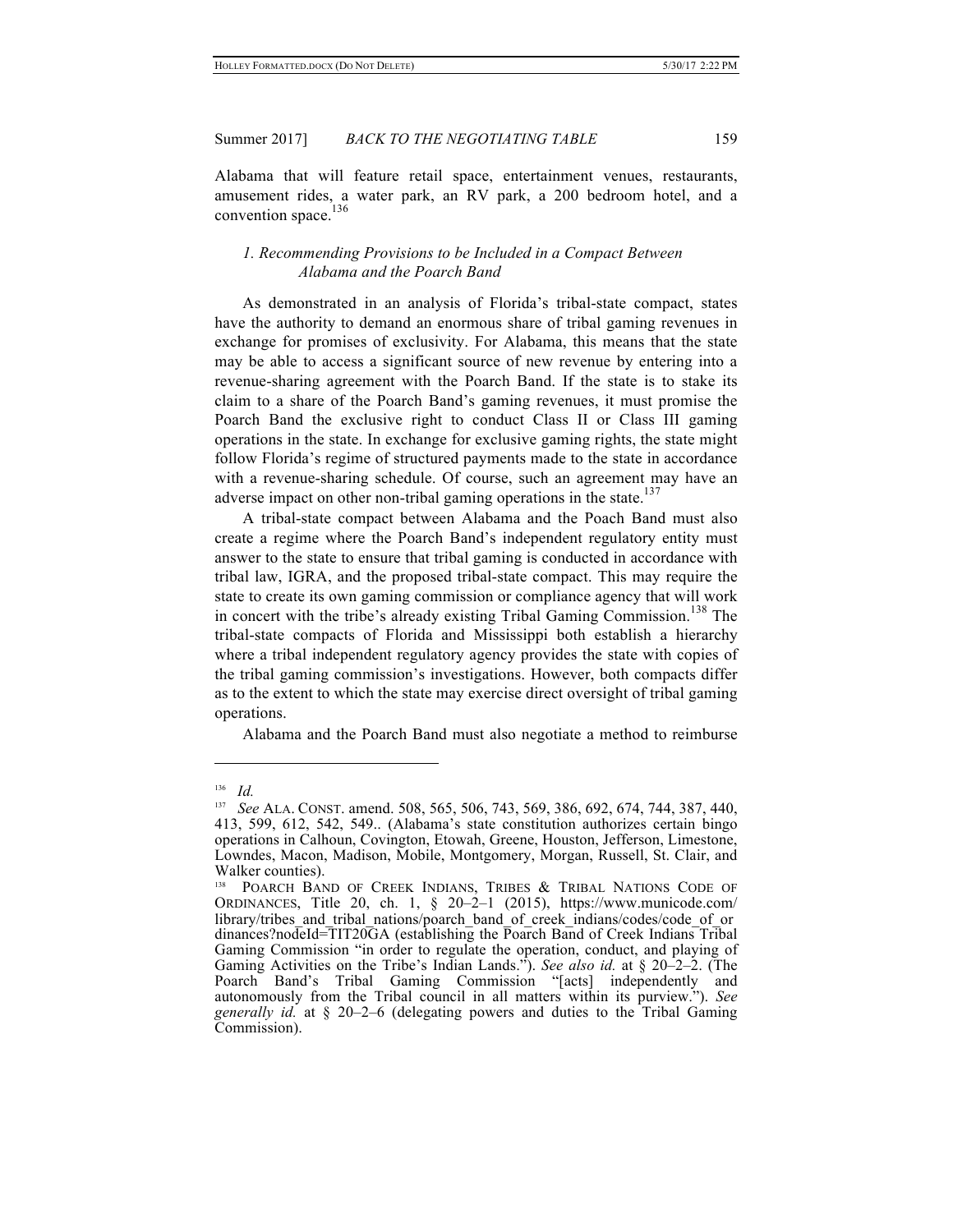Alabama that will feature retail space, entertainment venues, restaurants, amusement rides, a water park, an RV park, a 200 bedroom hotel, and a convention space.<sup>136</sup>

## *1. Recommending Provisions to be Included in a Compact Between Alabama and the Poarch Band*

As demonstrated in an analysis of Florida's tribal-state compact, states have the authority to demand an enormous share of tribal gaming revenues in exchange for promises of exclusivity. For Alabama, this means that the state may be able to access a significant source of new revenue by entering into a revenue-sharing agreement with the Poarch Band. If the state is to stake its claim to a share of the Poarch Band's gaming revenues, it must promise the Poarch Band the exclusive right to conduct Class II or Class III gaming operations in the state. In exchange for exclusive gaming rights, the state might follow Florida's regime of structured payments made to the state in accordance with a revenue-sharing schedule. Of course, such an agreement may have an adverse impact on other non-tribal gaming operations in the state.<sup>137</sup>

A tribal-state compact between Alabama and the Poach Band must also create a regime where the Poarch Band's independent regulatory entity must answer to the state to ensure that tribal gaming is conducted in accordance with tribal law, IGRA, and the proposed tribal-state compact. This may require the state to create its own gaming commission or compliance agency that will work in concert with the tribe's already existing Tribal Gaming Commission.<sup>138</sup> The tribal-state compacts of Florida and Mississippi both establish a hierarchy where a tribal independent regulatory agency provides the state with copies of the tribal gaming commission's investigations. However, both compacts differ as to the extent to which the state may exercise direct oversight of tribal gaming operations.

Alabama and the Poarch Band must also negotiate a method to reimburse

 $\frac{136}{137}$  *Id.* 

<sup>137</sup> *See* ALA. CONST. amend. 508, 565, 506, 743, 569, 386, 692, 674, 744, 387, 440, 413, 599, 612, 542, 549.. (Alabama's state constitution authorizes certain bingo operations in Calhoun, Covington, Etowah, Greene, Houston, Jefferson, Limestone, Lowndes, Macon, Madison, Mobile, Montgomery, Morgan, Russell, St. Clair, and Walker counties).

<sup>&</sup>lt;sup>138</sup> POARCH BAND OF CREEK INDIANS, TRIBES & TRIBAL NATIONS CODE OF ORDINANCES, Title 20, ch. 1, § 20–2–1 (2015), https://www.municode.com/ library/tribes\_and\_tribal\_nations/poarch\_band\_of\_creek\_indians/codes/code\_of\_or dinances?nodeId=TIT20GA (establishing the Poarch Band of Creek Indians Tribal Gaming Commission "in order to regulate the operation, conduct, and playing of Gaming Activities on the Tribe's Indian Lands."). *See also id.* at § 20–2–2. (The Poarch Band's Tribal Gaming Commission "[acts] independently and autonomously from the Tribal council in all matters within its purview."). *See generally id.* at § 20–2–6 (delegating powers and duties to the Tribal Gaming Commission).